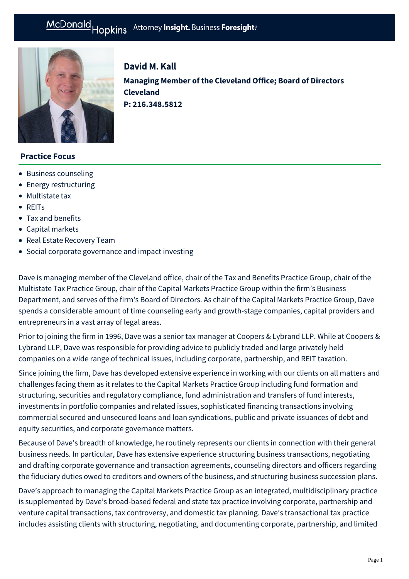

# David M. Kall **Managing Member of the Cleveland Office; Board of Directors Cleveland P: [216.348.5812](tel:216.348.5812)**

## **Practice Focus**

- [Business counseling](https://mcdonaldhopkins.com/Expertise/Business-counseling)
- [Energy restructuring](https://mcdonaldhopkins.com/Expertise/Energy/Energy-restructuring)
- [Multistate tax](https://mcdonaldhopkins.com/Expertise/Tax-and-benefits/Multistate-tax)
- [REITs](https://mcdonaldhopkins.com/Expertise/Real-estate/REITs)
- [Tax and benefits](https://mcdonaldhopkins.com/Expertise/Tax-and-benefits)
- [Capital markets](https://mcdonaldhopkins.com/Expertise/Finance/Capital-markets)
- [Real Estate Recovery Team](https://mcdonaldhopkins.com/Expertise/Real-estate/Real-Estate-Recovery-Team)
- [Social corporate governance and impact investing](https://mcdonaldhopkins.com/Expertise/Business-counseling/Social-Corporate-Governance-and-Impact-Investing)

Dave is managing member of the Cleveland office, chair of the Tax and Benefits Practice Group, chair of the Multistate Tax Practice Group, chair of the Capital Markets Practice Group within the firm's Business Department, and serves of the firm's Board of Directors. As chair of the Capital Markets Practice Group, Dave spends a considerable amount of time counseling early and growth-stage companies, capital providers and entrepreneurs in a vast array of legal areas.

Prior to joining the firm in 1996, Dave was a senior tax manager at Coopers & Lybrand LLP. While at Coopers & Lybrand LLP, Dave was responsible for providing advice to publicly traded and large privately held companies on a wide range of technical issues, including corporate, partnership, and REIT taxation.

Since joining the firm, Dave has developed extensive experience in working with our clients on all matters and challenges facing them as it relates to the Capital Markets Practice Group including fund formation and structuring, securities and regulatory compliance, fund administration and transfers of fund interests, investments in portfolio companies and related issues, sophisticated financing transactions involving commercial secured and unsecured loans and loan syndications, public and private issuances of debt and equity securities, and corporate governance matters.

Because of Dave's breadth of knowledge, he routinely represents our clients in connection with their general business needs. In particular, Dave has extensive experience structuring business transactions, negotiating and drafting corporate governance and transaction agreements, counseling directors and officers regarding the fiduciary duties owed to creditors and owners of the business, and structuring business succession plans.

Dave's approach to managing the Capital Markets Practice Group as an integrated, multidisciplinary practice is supplemented by Dave's broad-based federal and state tax practice involving corporate, partnership and venture capital transactions, tax controversy, and domestic tax planning. Dave's transactional tax practice includes assisting clients with structuring, negotiating, and documenting corporate, partnership, and limited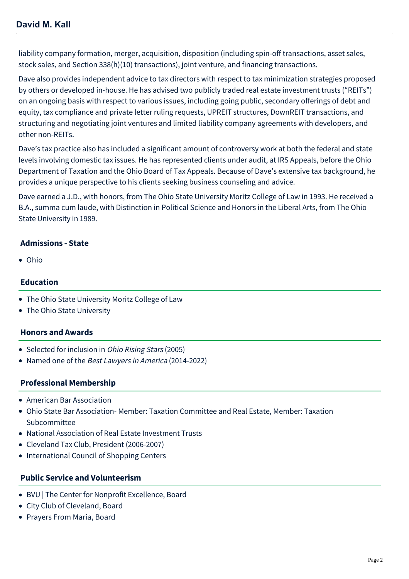liability company formation, merger, acquisition, disposition (including spin-off transactions, asset sales, stock sales, and Section 338(h)(10) transactions), joint venture, and financing transactions.

Dave also provides independent advice to tax directors with respect to tax minimization strategies proposed by others or developed in-house. He has advised two publicly traded real estate investment trusts ("REITs") on an ongoing basis with respect to various issues, including going public, secondary offerings of debt and equity, tax compliance and private letter ruling requests, UPREIT structures, DownREIT transactions, and structuring and negotiating joint ventures and limited liability company agreements with developers, and other non-REITs.

Dave's tax practice also has included a significant amount of controversy work at both the federal and state levels involving domestic tax issues. He has represented clients under audit, at IRS Appeals, before the Ohio Department of Taxation and the Ohio Board of Tax Appeals. Because of Dave's extensive tax background, he provides a unique perspective to his clients seeking business counseling and advice.

Dave earned a J.D., with honors, from The Ohio State University Moritz College of Law in 1993. He received a B.A., summa cum laude, with Distinction in Political Science and Honors in the Liberal Arts, from The Ohio State University in 1989.

## **Admissions - State**

Ohio

## **Education**

- The Ohio State University Moritz College of Law
- The Ohio State University

## **Honors and Awards**

- Selected for inclusion in *Ohio Rising Stars* (2005)
- Named one of the Best Lawyers in America (2014-2022)

# **Professional Membership**

- American Bar Association
- Ohio State Bar Association- Member: Taxation Committee and Real Estate, Member: Taxation Subcommittee
- National Association of Real Estate Investment Trusts
- Cleveland Tax Club, President (2006-2007)
- International Council of Shopping Centers

# **Public Service and Volunteerism**

- BVU | The Center for Nonprofit Excellence, Board
- City Club of Cleveland, Board
- Prayers From Maria, Board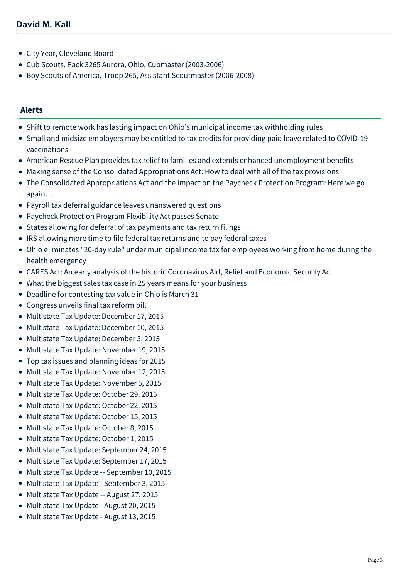- City Year, Cleveland Board
- Cub Scouts, Pack 3265 Aurora, Ohio, Cubmaster (2003-2006)
- Boy Scouts of America, Troop 265, Assistant Scoutmaster (2006-2008)

#### **Alerts**

- [Shift to remote work has lasting impact on Ohio's municipal income tax withholding rules](https://mcdonaldhopkins.com/Insights/January-2022/Remote-work-impact-Ohio-municipal-income-tax)
- [Small and midsize employers may be entitled to tax credits for providing paid leave related to COVID-19](https://mcdonaldhopkins.com/Insights/April-2021/Small-and-midsize-employers-may-be-entitled-to-tax) vaccinations
- [American Rescue Plan provides tax relief to families and extends enhanced unemployment benefits](https://mcdonaldhopkins.com/Insights/March-2021/Tax-provisions-in-American-Rescue-Plan-provide-rel)
- [Making sense of the Consolidated Appropriations Act: How to deal with all of the tax provisions](https://mcdonaldhopkins.com/Insights/January-2021/Making-sense-of-the-Consolidated-Appropriations-Ac)
- [The Consolidated Appropriations Act and the impact on the Paycheck Protection Program: Here we go](https://mcdonaldhopkins.com/Insights/December-2020/The-Consolidated-Appropriations-Act-and-the-impact) again…
- [Payroll tax deferral guidance leaves unanswered questions](https://mcdonaldhopkins.com/Insights/September-2020/Payroll-tax-deferral-guidance-leaves-unanswered-qu)
- [Paycheck Protection Program Flexibility Act passes Senate](https://mcdonaldhopkins.com/Insights/June-2020-(1)/Paycheck-Protection-Program-Flexibility-Act-passes)
- [States allowing for deferral of tax payments and tax return filings](https://mcdonaldhopkins.com/Insights/March-2020/States-allowing-for-deferral-of-tax-payments-and-t)
- [IRS allowing more time to file federal tax returns and to pay federal taxes](https://mcdonaldhopkins.com/Insights/March-2020/IRS-allowing-more-time-to-file-federal-tax-returns)
- [Ohio eliminates "20-day rule" under municipal income tax for employees working from home during the](https://mcdonaldhopkins.com/Insights/March-2020/Ohio-eliminates-20-day-rule-under-municipal-income) health emergency
- [CARES Act: An early analysis of the historic Coronavirus Aid, Relief and Economic Security Act](https://mcdonaldhopkins.com/Insights/March-2020/CARES-ACT-overview)
- [What the biggest sales tax case in 25 years means for your business](https://mcdonaldhopkins.com/Insights/May-2018/What-the-biggest-sales-tax-case-in-25-years-means)
- [Deadline for contesting tax value in Ohio is March 31](https://mcdonaldhopkins.com/Insights/February-2018/Deadline-for-contesting-tax-value-in-Ohio-is-March)
- [Congress unveils final tax reform bill](https://mcdonaldhopkins.com/Insights/December-2017/Congress-unveils-final-tax-reform-bill-House-and)
- [Multistate Tax Update: December 17, 2015](https://mcdonaldhopkins.com/Insights/December-2015/Multistate-Tax-Update-December-17-2015)
- [Multistate Tax Update: December 10, 2015](https://mcdonaldhopkins.com/Insights/December-2015/Multistate-Tax-Update-December-10-2015)
- [Multistate Tax Update: December 3, 2015](https://mcdonaldhopkins.com/Insights/December-2015/Multistate-Tax-Update-December-3-2015)
- [Multistate Tax Update: November 19, 2015](https://mcdonaldhopkins.com/Insights/November-2015/Multistate-Tax-Update-November-19-2015)
- [Top tax issues and planning ideas for 2015](https://mcdonaldhopkins.com/Insights/November-2015/Top-tax-issues-and-planning-ideas-for-2015)
- [Multistate Tax Update: November 12, 2015](https://mcdonaldhopkins.com/Insights/November-2015/Multistate-Tax-Update-November-12-2015)
- [Multistate Tax Update: November 5, 2015](https://mcdonaldhopkins.com/Insights/November-2015/Multistate-Tax-Update-November-5-2015)
- [Multistate Tax Update: October 29, 2015](https://mcdonaldhopkins.com/Insights/October-2015/Multistate-Tax-Update-October-29-2015)
- [Multistate Tax Update: October 22, 2015](https://mcdonaldhopkins.com/Insights/October-2015/Multistate-Tax-Update-October-22-2015)
- [Multistate Tax Update: October 15, 2015](https://mcdonaldhopkins.com/Insights/October-2015/Multistate-Tax-Update-October-15-2015)
- [Multistate Tax Update: October 8, 2015](https://mcdonaldhopkins.com/Insights/October-2015/Multistate-Tax-Update-October-8-2015)
- [Multistate Tax Update: October 1, 2015](https://mcdonaldhopkins.com/Insights/October-2015/Multistate-Tax-Update-October-1-2015)
- [Multistate Tax Update: September 24, 2015](https://mcdonaldhopkins.com/Insights/September-2015/Multistate-Tax-Update-September-24-2015)
- [Multistate Tax Update: September 17, 2015](https://mcdonaldhopkins.com/Insights/September-2015/Multistate-Tax-Update--September-17-2015)
- [Multistate Tax Update -- September 10, 2015](https://mcdonaldhopkins.com/Insights/September-2015/Multistate-Tax-Update--September-10-2015)
- [Multistate Tax Update September 3, 2015](https://mcdonaldhopkins.com/Insights/September-2015/Multistate-Tax-Update--September-3-2015)
- [Multistate Tax Update -- August 27, 2015](https://mcdonaldhopkins.com/Insights/August-2015/Multistate-Tax-Update--August-27-2015)
- [Multistate Tax Update August 20, 2015](https://mcdonaldhopkins.com/Insights/August-2015/Multistate-Tax-Update--August-20-2015)
- [Multistate Tax Update August 13, 2015](https://mcdonaldhopkins.com/Insights/August-2015/Multistate-Tax-Update--August-13-2015)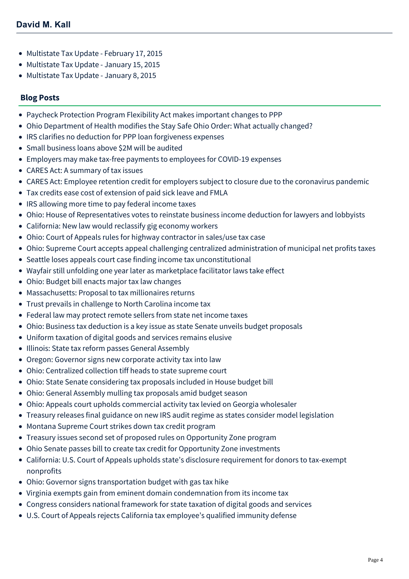- [Multistate Tax Update February 17, 2015](https://mcdonaldhopkins.com/Insights/Febrary-2015/Multistate-Tax-Update-February-17-2015)
- [Multistate Tax Update January 15, 2015](https://mcdonaldhopkins.com/Insights/January-2015/Multistate-Tax-Update-January-15-2015)
- [Multistate Tax Update January 8, 2015](https://mcdonaldhopkins.com/Insights/January-2015/Multistate-Tax-Update-January-8-2015)

### **Blog Posts**

- [Paycheck Protection Program Flexibility Act makes important changes to PPP](https://mcdonaldhopkins.com/Insights/June-2020-(1)/PPPFA-makes-important-changes-to-PPP)
- [Ohio Department of Health modifies the Stay Safe Ohio Order: What actually changed?](https://mcdonaldhopkins.com/Insights/May-2020/Ohio-Department-of-Health-modifies-the-Stay-Safe-O)
- [IRS clarifies no deduction for PPP loan forgiveness expenses](https://mcdonaldhopkins.com/Insights/May-2020/IRS-clarifies-no-deduction-for-PPP-loan-forgivenes)
- [Small business loans above \\$2M will be audited](https://mcdonaldhopkins.com/Insights/April-2020/Small-business-loans-above-2M-will-be-audited)
- [Employers may make tax-free payments to employees for COVID-19 expenses](https://mcdonaldhopkins.com/Insights/April-2020/Employers-may-make-tax-free-payments)
- [CARES Act: A summary of tax issues](https://mcdonaldhopkins.com/Insights/March-2020/CARES-Act-A-summary-of-tax-issues)
- [CARES Act: Employee retention credit for employers subject to closure due to the coronavirus pandemic](https://mcdonaldhopkins.com/Insights/March-2020/CARES-ACT-Employee-retention-credit-for-employers)
- [Tax credits ease cost of extension of paid sick leave and FMLA](https://mcdonaldhopkins.com/Insights/March-2020/Tax-credits-ease-cost-of-extension-of-paid-sick-le)
- [IRS allowing more time to pay federal income taxes](https://mcdonaldhopkins.com/Insights/March-2020/Treasury-Secretary-announces-more-time-to-pay-fede)
- [Ohio: House of Representatives votes to reinstate business income deduction for lawyers and lobbyists](https://mcdonaldhopkins.com/Insights/October-2019/Ohio-House-of-Representatives-votes-to-reinstate-b)
- [California: New law would reclassify gig economy workers](https://mcdonaldhopkins.com/Insights/October-2019/California-New-law-would-reclassify-gig-economy-wo)
- [Ohio: Court of Appeals rules for highway contractor in sales/use tax case](https://mcdonaldhopkins.com/Insights/October-2019/Ohio-Court-of-Appeals-rules-for-highway-contractor)
- [Ohio: Supreme Court accepts appeal challenging centralized administration of municipal net profits taxes](https://mcdonaldhopkins.com/Insights/August-2019/OH-Supreme-Court-accepts-appeal-challenging-centra)
- [Seattle loses appeals court case finding income tax unconstitutional](https://mcdonaldhopkins.com/Insights/August-2019/Seattle-loses-appeals-court-case-finding-income-ta)
- [Wayfair still unfolding one year later as marketplace facilitator laws take effect](https://mcdonaldhopkins.com/Insights/July-2019/Wayfair-still-unfolding-one-year-later-as-marketpl)
- [Ohio: Budget bill enacts major tax law changes](https://mcdonaldhopkins.com/Insights/July-2019/Ohio-Budget-bill-enacts-major-tax-law-changes)
- [Massachusetts: Proposal to tax millionaires returns](https://mcdonaldhopkins.com/Insights/July-2019/Massachusetts-Proposal-to-tax-millionaires-returns)
- [Trust prevails in challenge to North Carolina income tax](https://mcdonaldhopkins.com/Insights/July-2019/Trust-prevails-in-challenge-to-North-Carolina-inco)
- [Federal law may protect remote sellers from state net income taxes](https://mcdonaldhopkins.com/Insights/July-2019/Federal-law-may-protect-remote-sellers-from-state)
- [Ohio: Business tax deduction is a key issue as state Senate unveils budget proposals](https://mcdonaldhopkins.com/Insights/June-2019/Ohio-Business-tax-deduction-is-a-key-issue-as-stat)
- [Uniform taxation of digital goods and services remains elusive](https://mcdonaldhopkins.com/Insights/June-2019/Uniform-taxation-of-digital-goods-and-services-rem)
- [Illinois: State tax reform passes General Assembly](https://mcdonaldhopkins.com/Insights/June-2019/Illinois-State-tax-reform-passes-General-Assembly)
- [Oregon: Governor signs new corporate activity tax into law](https://mcdonaldhopkins.com/Insights/May-2019/Oregon-Governor-signs-new-corporate-activity-tax-i)
- [Ohio: Centralized collection tiff heads to state supreme court](https://mcdonaldhopkins.com/Insights/May-2019/Ohio-Centralized-collection-tiff-heads-to-state-su)
- [Ohio: State Senate considering tax proposals included in House budget bill](https://mcdonaldhopkins.com/Insights/May-2019/Ohio-State-Senate-considering-tax-proposals-includ)
- [Ohio: General Assembly mulling tax proposals amid budget season](https://mcdonaldhopkins.com/Insights/May-2019/Ohio-General-Assembly-mulling-tax-proposals-amid-b)
- [Ohio: Appeals court upholds commercial activity tax levied on Georgia wholesaler](https://mcdonaldhopkins.com/Insights/May-2019/Ohio-Appeals-court-upholds-commercial-activity-tax)
- [Treasury releases final guidance on new IRS audit regime as states consider model legislation](https://mcdonaldhopkins.com/Insights/May-2019/Treasury-releases-final-guidance-on-new-IRS-audit)
- [Montana Supreme Court strikes down tax credit program](https://mcdonaldhopkins.com/Insights/April-2019/Montana-State-Supreme-Court-strikes-down-tax-credi)
- [Treasury issues second set of proposed rules on Opportunity Zone program](https://mcdonaldhopkins.com/Insights/April-2019/Treasury-issues-second-set-of-proposed-rules-on-Op)
- [Ohio Senate passes bill to create tax credit for Opportunity Zone investments](https://mcdonaldhopkins.com/Insights/April-2019/Ohio-Senate-passes-bill-to-create-tax-credit-for-Opportunity-Zone-investments)
- [California: U.S. Court of Appeals upholds state's disclosure requirement for donors to tax-exempt](https://mcdonaldhopkins.com/Insights/April-2019/California-Court-of-Appeals-upholds-disclosure-req) nonprofits
- [Ohio: Governor signs transportation budget with gas tax hike](https://mcdonaldhopkins.com/Insights/April-2019/Ohio-Governor-signs-transportation-budget-with-gas)
- [Virginia exempts gain from eminent domain condemnation from its income tax](https://mcdonaldhopkins.com/Insights/March-2019/Virginia-exempts-gain-from-eminent-domain-condemna)
- [Congress considers national framework for state taxation of digital goods and services](https://mcdonaldhopkins.com/Insights/March-2019/Congress-considers-national-framework-for-state-ta)
- [U.S. Court of Appeals rejects California tax employee's qualified immunity defense](https://mcdonaldhopkins.com/Insights/March-2019/US-Court-of-Appeals-rejects-California-tax-employe)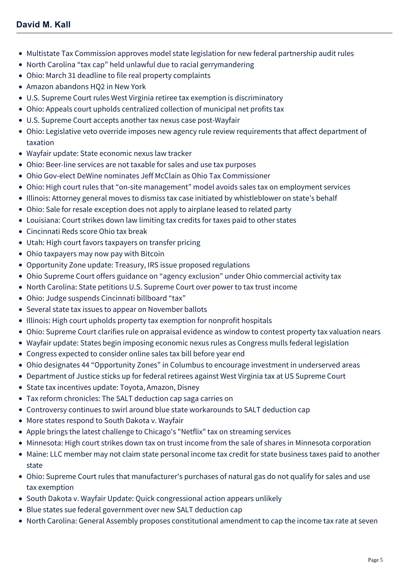- [Multistate Tax Commission approves model state legislation for new federal partnership audit rules](https://mcdonaldhopkins.com/Insights/March-2019/Multistate-Tax-Commission-approves-model-state-leg)
- [North Carolina "tax cap" held unlawful due to racial gerrymandering](https://mcdonaldhopkins.com/Insights/March-2019/North-Carolina-tax-cap-held-unlawful-due-to-racial)
- [Ohio: March 31 deadline to file real property complaints](https://mcdonaldhopkins.com/Insights/March-2019/Ohio-March-31-deadline-to-file-real-property-compl)
- [Amazon abandons HQ2 in New York](https://mcdonaldhopkins.com/Insights/February-2019/Amazon-abandons-HQ2-in-New-York)
- [U.S. Supreme Court rules West Virginia retiree tax exemption is discriminatory](https://mcdonaldhopkins.com/Insights/February-2019/US-Supreme-Court-rules-West-Virginia-retiree-tax-e)
- [Ohio: Appeals court upholds centralized collection of municipal net profits tax](https://mcdonaldhopkins.com/Insights/February-2019/Ohio-appeals-court-upholds-centralized-collection)
- [U.S. Supreme Court accepts another tax nexus case post-Wayfair](https://mcdonaldhopkins.com/Insights/January-2019/US-Supreme-Court-accepts-another-tax-nexus-case-po)
- [Ohio: Legislative veto override imposes new agency rule review requirements that affect department of](https://mcdonaldhopkins.com/Insights/January-2019/Ohio-Legislative-veto-override-imposes-new-agency) taxation
- [Wayfair update: State economic nexus law tracker](https://mcdonaldhopkins.com/Insights/January-2019/Wayfair-update-State-economic-nexus-law-tracker)
- [Ohio: Beer-line services are not taxable for sales and use tax purposes](https://mcdonaldhopkins.com/Insights/January-2019/Ohio-Beer-line-services-are-not-taxable-for-sales)
- [Ohio Gov-elect DeWine nominates Jeff McClain as Ohio Tax Commissioner](https://mcdonaldhopkins.com/Insights/January-2019/Ohio-Gov-elect-DeWine-nominates-Jeff-McClain-as-Oh)
- [Ohio: High court rules that "on-site management" model avoids sales tax on employment services](https://mcdonaldhopkins.com/Insights/December-2018/Ohio-High-court-rules-that-on-site-management-mode)
- [Illinois: Attorney general moves to dismiss tax case initiated by whistleblower on state's behalf](https://mcdonaldhopkins.com/Insights/December-2018/Illinois-Attorney-general-moves-to-dismiss-tax-cas)
- [Ohio: Sale for resale exception does not apply to airplane leased to related party](https://mcdonaldhopkins.com/Insights/December-2018/Ohio-Sale-for-resale-exception-does-not-apply-to-a)
- [Louisiana: Court strikes down law limiting tax credits for taxes paid to other states](https://mcdonaldhopkins.com/Insights/December-2018/Louisiana-Court-strikes-down-law-limiting-tax-cred)
- [Cincinnati Reds score Ohio tax break](https://mcdonaldhopkins.com/Insights/November-2018/Cincinnati-Reds-score-Ohio-tax-break)
- [Utah: High court favors taxpayers on transfer pricing](https://mcdonaldhopkins.com/Insights/November-2018/Utah-High-court-favors-taxpayers-on-transfer-prici)
- [Ohio taxpayers may now pay with Bitcoin](https://mcdonaldhopkins.com/Insights/November-2018/Ohio-taxpayers-may-now-pay-with-Bitcoin)
- [Opportunity Zone update: Treasury, IRS issue proposed regulations](https://mcdonaldhopkins.com/Insights/November-2018/Opportunity-Zone-update-Treasury-IRS-issue-propose)
- [Ohio Supreme Court offers guidance on "agency exclusion" under Ohio commercial activity tax](https://mcdonaldhopkins.com/Insights/November-2018/Ohio-Supreme-Court-offers-guidance-on-agency-exclu)
- [North Carolina: State petitions U.S. Supreme Court over power to tax trust income](https://mcdonaldhopkins.com/Insights/October-2018/NC-State-petitions-US-Supreme-Court-over-power-to)
- [Ohio: Judge suspends Cincinnati billboard "tax"](https://mcdonaldhopkins.com/Insights/October-2018/Ohio-Judge-suspends-Cincinnati-billboard-tax)
- [Several state tax issues to appear on November ballots](https://mcdonaldhopkins.com/Insights/October-2018/Several-state-tax-issues-to-appear-on-November-bal)
- [Illinois: High court upholds property tax exemption for nonprofit hospitals](https://mcdonaldhopkins.com/Insights/October-2018/Illinois-High-court-upholds-property-tax-exemption)
- [Ohio: Supreme Court clarifies rule on appraisal evidence as window to contest property tax valuation nears](https://mcdonaldhopkins.com/Insights/October-2018/Ohio-Supreme-Court-clarifies-rule-on-appraisal-evi)
- [Wayfair update: States begin imposing economic nexus rules as Congress mulls federal legislation](https://mcdonaldhopkins.com/Insights/October-2018/Wayfair-update-States-begin-imposing-economic-nexu)
- [Congress expected to consider online sales tax bill before year end](https://mcdonaldhopkins.com/Insights/September-2018/Congress-expected-to-consider-online-sales-tax-bil)
- [Ohio designates 44 "Opportunity Zones" in Columbus to encourage investment in underserved areas](https://mcdonaldhopkins.com/Insights/September-2018/Ohio-designates-44-Opportunity-Zones-in-Columbus-t)
- [Department of Justice sticks up for federal retirees against West Virginia tax at US Supreme Court](https://mcdonaldhopkins.com/Insights/September-2018/Department-of-Justice-sticks-up-for-federal-retire)
- [State tax incentives update: Toyota, Amazon, Disney](https://mcdonaldhopkins.com/Insights/September-2018/State-tax-incentives-update-Toyota-Amazon-Disney)
- [Tax reform chronicles: The SALT deduction cap saga carries on](https://mcdonaldhopkins.com/Insights/September-2018/Tax-reform-chronicles-The-SALT-deduction-cap-saga)
- [Controversy continues to swirl around blue state workarounds to SALT deduction cap](https://mcdonaldhopkins.com/Insights/August-2018/Controversy-continues-to-swirl-around-blue-state-w)
- [More states respond to South Dakota v. Wayfair](https://mcdonaldhopkins.com/Insights/August-2018/More-states-respond-to-South-Dakota-v-Wayfair)
- [Apple brings the latest challenge to Chicago's "Netflix" tax on streaming services](https://mcdonaldhopkins.com/Insights/August-2018/Apple-brings-the-latest-challenge-to-Chicago-Netfl)
- [Minnesota: High court strikes down tax on trust income from the sale of shares in Minnesota corporation](https://mcdonaldhopkins.com/Insights/August-2018/Minnesota-court-strikes-down-tax-on-trust-income-f)
- [Maine: LLC member may not claim state personal income tax credit for state business taxes paid to another](https://mcdonaldhopkins.com/Insights/August-2018/Maine-LLC-and-personal-income-tax-credit-for-state) state
- [Ohio: Supreme Court rules that manufacturer's purchases of natural gas do not qualify for sales and use](https://mcdonaldhopkins.com/Insights/August-2018/Ohio-Supreme-Court-rules-that-manufacturers-purcha) tax exemption
- [South Dakota v. Wayfair Update: Quick congressional action appears unlikely](https://mcdonaldhopkins.com/Insights/August-2018/South-Dakota-v-Wayfair-Update)
- [Blue states sue federal government over new SALT deduction cap](https://mcdonaldhopkins.com/Insights/July-2018/Blue-states-sue-federal-government-over-new-SALT-d)
- [North Carolina: General Assembly proposes constitutional amendment to cap the income tax rate at seven](https://mcdonaldhopkins.com/Insights/July-2018/North-Carolina-General-Assembly-proposes-constitut)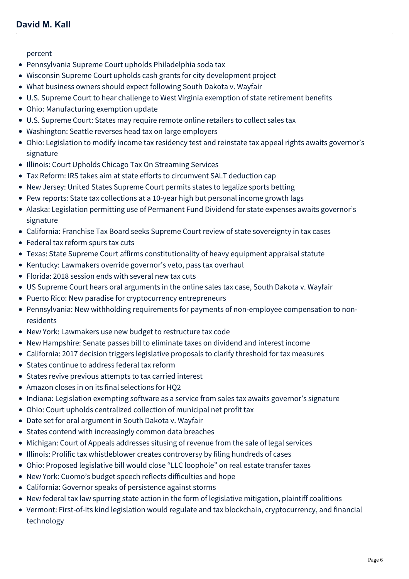#### [percent](https://mcdonaldhopkins.com/Insights/July-2018/North-Carolina-General-Assembly-proposes-constitut)

- [Pennsylvania Supreme Court upholds Philadelphia soda tax](https://mcdonaldhopkins.com/Insights/July-2018/Pennsylvania-Supreme-Court-upholds-Philadelphia-so)
- [Wisconsin Supreme Court upholds cash grants for city development project](https://mcdonaldhopkins.com/Insights/July-2018/Wisconsin-Supreme-Court-upholds-cash-grants-for-ci)
- [What business owners should expect following South Dakota v. Wayfair](https://mcdonaldhopkins.com/Insights/July-2018/WHAT-BUSINESS-OWNERS-SHOULD-EXPECT-FOLLOWING-SOUTH)
- [U.S. Supreme Court to hear challenge to West Virginia exemption of state retirement benefits](https://mcdonaldhopkins.com/Insights/July-2018/US-Supreme-Court-to-hear-challenge-to-West-Virgini)
- [Ohio: Manufacturing exemption update](https://mcdonaldhopkins.com/Insights/June-2018/Ohio-Manufacturing-exemption-update)
- [U.S. Supreme Court: States may require remote online retailers to collect sales tax](https://mcdonaldhopkins.com/Insights/June-2018/US-Supreme-Court-States-may-require-remote-online)
- [Washington: Seattle reverses head tax on large employers](https://mcdonaldhopkins.com/Insights/June-2018/Washington-Seattle-reverses-head-tax-on-large-empl)
- [Ohio: Legislation to modify income tax residency test and reinstate tax appeal rights awaits governor's](https://mcdonaldhopkins.com/Insights/June-2018/Proposed-Legislation-Would-Modify-Income-Tax-Resid) signature
- [Illinois: Court Upholds Chicago Tax On Streaming Services](https://mcdonaldhopkins.com/Insights/June-2018/Court-Upholds-Chicago-Tax-On-Streaming-Services)
- [Tax Reform: IRS takes aim at state efforts to circumvent SALT deduction cap](https://mcdonaldhopkins.com/Insights/June-2018/IRS-Takes-Aim-at-State-Efforts-to-Circumvent-Salt)
- [New Jersey: United States Supreme Court permits states to legalize sports betting](https://mcdonaldhopkins.com/Insights/May-2018/New-Jersey-United-States-Supreme-Court-permits-sta)
- [Pew reports: State tax collections at a 10-year high but personal income growth lags](https://mcdonaldhopkins.com/Insights/May-2018/State-tax-collections-at-a-10-year-high-but-person)
- [Alaska: Legislation permitting use of Permanent Fund Dividend for state expenses awaits governor's](https://mcdonaldhopkins.com/Insights/May-2018/Legislation-permitting-use-of-Permanent-Fund-Divid) signature
- [California: Franchise Tax Board seeks Supreme Court review of state sovereignty in tax cases](https://mcdonaldhopkins.com/Insights/May-2018/California-Franchise-Tax-Board-seeks-Supreme-Court)
- [Federal tax reform spurs tax cuts](https://mcdonaldhopkins.com/Insights/May-2018/Federal-tax-reform-spurs-tax-cuts)
- [Texas: State Supreme Court affirms constitutionality of heavy equipment appraisal statute](https://mcdonaldhopkins.com/Insights/May-2018/Texas-State-Supreme-Court-affirms-constitutionalit)
- [Kentucky: Lawmakers override governor's veto, pass tax overhaul](https://mcdonaldhopkins.com/Insights/April-2018/Kentucky-Lawmakers-override-governors-veto-pass-ta)
- [Florida: 2018 session ends with several new tax cuts](https://mcdonaldhopkins.com/Insights/April-2018/Florida-2018-session-ends-with-several-new-tax-cut)
- [US Supreme Court hears oral arguments in the online sales tax case, South Dakota v. Wayfair](https://mcdonaldhopkins.com/Insights/April-2018/US-Supreme-Court-hears-oral-arguments-in-the-onlin)
- [Puerto Rico: New paradise for cryptocurrency entrepreneurs](https://mcdonaldhopkins.com/Insights/April-2018/Puerto-Rico-New-paradise-for-cryptocurrency-entrep)
- [Pennsylvania: New withholding requirements for payments of non-employee compensation to non](https://mcdonaldhopkins.com/Insights/April-2018/Pennsylvania-New-withholding-requirements-for-paym)residents
- [New York: Lawmakers use new budget to restructure tax code](https://mcdonaldhopkins.com/Insights/April-2018/New-York-Lawmakers-use-new-budget-to-restructure-t)
- [New Hampshire: Senate passes bill to eliminate taxes on dividend and interest income](https://mcdonaldhopkins.com/Insights/March-2018/New-Hampshire-Senate-passes-bill-to-eliminate-taxe)
- [California: 2017 decision triggers legislative proposals to clarify threshold for tax measures](https://mcdonaldhopkins.com/Insights/March-2018/California-2017-decision-triggers-legislative-prop)
- [States continue to address federal tax reform](https://mcdonaldhopkins.com/Insights/March-2018/States-continue-to-address-federal-tax-reform)
- [States revive previous attempts to tax carried interest](https://mcdonaldhopkins.com/Insights/March-2018/States-revive-previous-attempts-to-tax-carried-int)
- [Amazon closes in on its final selections for HQ2](https://mcdonaldhopkins.com/Insights/March-2018/Amazon-closes-in-on-its-final-selections-for-HQ2)
- [Indiana: Legislation exempting software as a service from sales tax awaits governor's signature](https://mcdonaldhopkins.com/Insights/March-2018/Indiana-Legislation-exempting-software-as-a-servic)
- [Ohio: Court upholds centralized collection of municipal net profit tax](https://mcdonaldhopkins.com/Insights/March-2018/Ohio-Court-upholds-centralized-collection-of-munic)
- [Date set for oral argument in South Dakota v. Wayfair](https://mcdonaldhopkins.com/Insights/March-2018/Date-set-for-oral-argument-in-South-Dakota-v-Wayfa)
- [States contend with increasingly common data breaches](https://mcdonaldhopkins.com/Insights/March-2018/States-contend-with-increasingly-common-data-breac)
- [Michigan: Court of Appeals addresses situsing of revenue from the sale of legal services](https://mcdonaldhopkins.com/Insights/February-2018/Michigan-Court-of-Appeals-addresses-situsing-of-re)
- [Illinois: Prolific tax whistleblower creates controversy by filing hundreds of cases](https://mcdonaldhopkins.com/Insights/February-2018/Illinois-Prolific-tax-whistleblower-creates-contro)
- [Ohio: Proposed legislative bill would close "LLC loophole" on real estate transfer taxes](https://mcdonaldhopkins.com/Insights/February-2018/Ohio-Proposed-legislative-bill-would-close-LLC-loo)
- [New York: Cuomo's budget speech reflects difficulties and hope](https://mcdonaldhopkins.com/Insights/February-2018/New-York-Cuomos-budget-speech-reflects-difficultie)
- [California: Governor speaks of persistence against storms](https://mcdonaldhopkins.com/Insights/February-2018/California-Governor-speaks-of-persistence-against)
- [New federal tax law spurring state action in the form of legislative mitigation, plaintiff coalitions](https://mcdonaldhopkins.com/Insights/February-2018/New-federal-tax-law-spurring-state-action-in-the-f)
- [Vermont: First-of-its kind legislation would regulate and tax blockchain, cryptocurrency, and financial](https://mcdonaldhopkins.com/Insights/January-2018/Vermont-considering-legislation-to-regulate-tax-bl) technology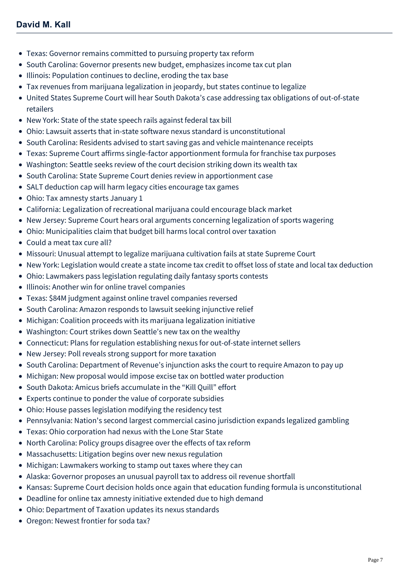- [Texas: Governor remains committed to pursuing property tax reform](https://mcdonaldhopkins.com/Insights/January-2018/Texas-Governor-remains-committed-to-pursuing-prope)
- [South Carolina: Governor presents new budget, emphasizes income tax cut plan](https://mcdonaldhopkins.com/Insights/January-2018/South-Carolina-Governor-presents-new-budget-emphas)
- [Illinois: Population continues to decline, eroding the tax base](https://mcdonaldhopkins.com/Insights/January-2018/Illinois-Population-continues-to-decline-eroding-t)
- [Tax revenues from marijuana legalization in jeopardy, but states continue to legalize](https://mcdonaldhopkins.com/Insights/January-2018/Tax-revenues-from-marijuana-legalization-in-jeopar)
- [United States Supreme Court will hear South Dakota's case addressing tax obligations of out-of-state](https://mcdonaldhopkins.com/Insights/January-2018/Supreme-Court-will-hear-SD-case-addressing-tax-obl) retailers
- [New York: State of the state speech rails against federal tax bill](https://mcdonaldhopkins.com/Insights/January-2018/New-York-State-of-the-state-speech-rails-against-f)
- [Ohio: Lawsuit asserts that in-state software nexus standard is unconstitutional](https://mcdonaldhopkins.com/Insights/January-2018/Ohio-Lawsuit-asserts-that-in-state-software-nexus)
- [South Carolina: Residents advised to start saving gas and vehicle maintenance receipts](https://mcdonaldhopkins.com/Insights/January-2018/South-Carolina-Residents-advised-to-start-saving-g)
- [Texas: Supreme Court affirms single-factor apportionment formula for franchise tax purposes](https://mcdonaldhopkins.com/Insights/January-2018/Texas-Supreme-Court-affirms-single-factor-apportio)
- [Washington: Seattle seeks review of the court decision striking down its wealth tax](https://mcdonaldhopkins.com/Insights/January-2018/Washington-Seattle-seeks-review-of-the-court-decis)
- [South Carolina: State Supreme Court denies review in apportionment case](https://mcdonaldhopkins.com/Insights/January-2018/South-Carolina-State-Supreme-Court-denies-review-i)
- [SALT deduction cap will harm legacy cities encourage tax games](https://mcdonaldhopkins.com/Insights/December-2017/SALT-deduction-cap-will-harm-legacy-cities-encoura)
- [Ohio: Tax amnesty starts January 1](https://mcdonaldhopkins.com/Insights/December-2017/Ohio-Tax-amnesty-starts-January-1)
- [California: Legalization of recreational marijuana could encourage black market](https://mcdonaldhopkins.com/Insights/December-2017/California-Legalization-of-recreational-marijuana)
- [New Jersey: Supreme Court hears oral arguments concerning legalization of sports wagering](https://mcdonaldhopkins.com/Insights/December-2017/New-Jersey-Supreme-Court-hears-oral-arguments-conc)
- [Ohio: Municipalities claim that budget bill harms local control over taxation](https://mcdonaldhopkins.com/Insights/December-2017/Ohio-Municipalities-claim-that-budget-bill-harms-l)
- [Could a meat tax cure all?](https://mcdonaldhopkins.com/Insights/December-2017/Could-a-meat-tax-cure-all)
- [Missouri: Unusual attempt to legalize marijuana cultivation fails at state Supreme Court](https://mcdonaldhopkins.com/Insights/December-2017/Missouri-Unusual-attempt-to-legalize-marijuana-cul)
- [New York: Legislation would create a state income tax credit to offset loss of state and local tax deduction](https://mcdonaldhopkins.com/Insights/December-2017/New-York-Legislation-would-create-a-state-income-t)
- [Ohio: Lawmakers pass legislation regulating daily fantasy sports contests](https://mcdonaldhopkins.com/Insights/December-2017/Ohio-Lawmakers-pass-legislation-regulating-daily-f)
- [Illinois: Another win for online travel companies](https://mcdonaldhopkins.com/Insights/December-2017/Illinois-Another-win-for-online-travel-companies)
- [Texas: \\$84M judgment against online travel companies reversed](https://mcdonaldhopkins.com/Insights/December-2017/Texas-84M-judgment-against-online-travel-companies)
- [South Carolina: Amazon responds to lawsuit seeking injunctive relief](https://mcdonaldhopkins.com/Insights/December-2017/South-Carolina-Amazon-responds-to-lawsuit-seeking)
- [Michigan: Coalition proceeds with its marijuana legalization initiative](https://mcdonaldhopkins.com/Insights/November-2017/Michigan-Coalition-proceeds-with-its-marijuana-leg)
- [Washington: Court strikes down Seattle's new tax on the wealthy](https://mcdonaldhopkins.com/Insights/November-2017/Washington-Court-strikes-down-Seattles-new-tax-on)
- [Connecticut: Plans for regulation establishing nexus for out-of-state internet sellers](https://mcdonaldhopkins.com/Insights/November-2017/Connecticut-Plans-for-regulation-establishing-nexu)
- [New Jersey: Poll reveals strong support for more taxation](https://mcdonaldhopkins.com/Insights/November-2017/New-Jersey-Poll-reveals-strong-support-for-more-ta)
- [South Carolina: Department of Revenue's injunction asks the court to require Amazon to pay up](https://mcdonaldhopkins.com/Insights/November-2017/South-Carolina-Department-of-Revenues-injunction-a)
- [Michigan: New proposal would impose excise tax on bottled water production](https://mcdonaldhopkins.com/Insights/November-2017/Michigan-New-proposal-would-impose-excise-tax-on-b)
- [South Dakota: Amicus briefs accumulate in the "Kill Quill" effort](https://mcdonaldhopkins.com/Insights/November-2017/South-Dakota-Amicus-briefs-accumulate-in-the-Kill)
- [Experts continue to ponder the value of corporate subsidies](https://mcdonaldhopkins.com/Insights/November-2017/Experts-continue-to-ponder-the-value-of-corporate)
- [Ohio: House passes legislation modifying the residency test](https://mcdonaldhopkins.com/Insights/November-2017/Ohio-House-passes-legislation-modifying-the-reside)
- [Pennsylvania: Nation's second largest commercial casino jurisdiction expands legalized gambling](https://mcdonaldhopkins.com/Insights/November-2017/Pennsylvania-Nations-second-largest-commercial-cas)
- [Texas: Ohio corporation had nexus with the Lone Star State](https://mcdonaldhopkins.com/Insights/November-2017/Texas-Ohio-corporation-had-nexus-with-the-Lone-Sta)
- [North Carolina: Policy groups disagree over the effects of tax reform](https://mcdonaldhopkins.com/Insights/November-2017/North-Carolina-Policy-groups-disagree-over-the-eff)
- [Massachusetts: Litigation begins over new nexus regulation](https://mcdonaldhopkins.com/Insights/November-2017/Massachusetts-Litigation-begins-over-new-nexus-reg)
- [Michigan: Lawmakers working to stamp out taxes where they can](https://mcdonaldhopkins.com/Insights/November-2017/Michigan-Lawmakers-working-to-stamp-out-taxes-wher)
- [Alaska: Governor proposes an unusual payroll tax to address oil revenue shortfall](https://mcdonaldhopkins.com/Insights/November-2017/Alaska-Governor-proposes-an-unusual-payroll-tax-to)
- [Kansas: Supreme Court decision holds once again that education funding formula is unconstitutional](https://mcdonaldhopkins.com/Insights/October-2017/Kansas-Supreme-Court-decision-holds-once-again-tha)
- [Deadline for online tax amnesty initiative extended due to high demand](https://mcdonaldhopkins.com/Insights/October-2017/Deadline-for-online-tax-amnesty-initiative-extende)
- [Ohio: Department of Taxation updates its nexus standards](https://mcdonaldhopkins.com/Insights/October-2017/Ohio-Department-of-Taxation-updates-its-nexus-stan)
- [Oregon: Newest frontier for soda tax?](https://mcdonaldhopkins.com/Insights/October-2017/Oregon-Newest-frontier-for-soda-tax)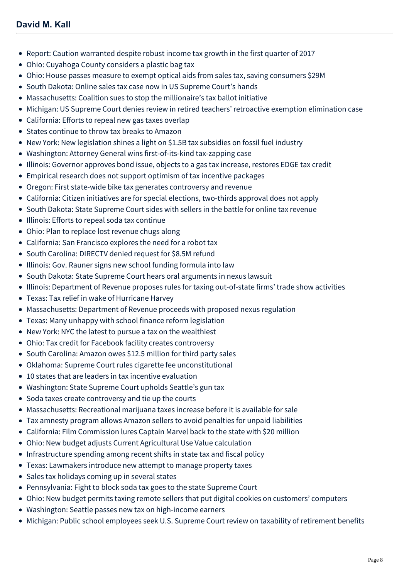- [Report: Caution warranted despite robust income tax growth in the first quarter of 2017](https://mcdonaldhopkins.com/Insights/October-2017/Report-Caution-warranted-despite-robust-income-tax)
- [Ohio: Cuyahoga County considers a plastic bag tax](https://mcdonaldhopkins.com/Insights/October-2017/Ohio-Cuyahoga-County-considers-a-plastic-bag-tax)
- [Ohio: House passes measure to exempt optical aids from sales tax, saving consumers \\$29M](https://mcdonaldhopkins.com/Insights/October-2017/Ohio-House-passes-measure-to-exempt-optical-aids-f)
- [South Dakota: Online sales tax case now in US Supreme Court's hands](https://mcdonaldhopkins.com/Insights/October-2017/South-Dakota-Online-sales-tax-case-now-in-US-Supre)
- [Massachusetts: Coalition sues to stop the millionaire's tax ballot initiative](https://mcdonaldhopkins.com/Insights/October-2017/Massachusetts-Coalition-sues-to-stop-the-millionai)
- [Michigan: US Supreme Court denies review in retired teachers' retroactive exemption elimination case](https://mcdonaldhopkins.com/Insights/October-2017/Michigan-US-Supreme-Court-denies-review-in-retired)
- [California: Efforts to repeal new gas taxes overlap](https://mcdonaldhopkins.com/Insights/October-2017/California-Efforts-to-repeal-new-gas-taxes-overlap)
- [States continue to throw tax breaks to Amazon](https://mcdonaldhopkins.com/Insights/October-2017/States-continue-to-throw-tax-breaks-to-Amazon)
- [New York: New legislation shines a light on \\$1.5B tax subsidies on fossil fuel industry](https://mcdonaldhopkins.com/Insights/October-2017/New-York-New-legislation-shines-a-light-on-15B-tax)
- [Washington: Attorney General wins first-of-its-kind tax-zapping case](https://mcdonaldhopkins.com/Insights/September-2017/Washington-Attorney-General-wins-first-of-its-kind)
- [Illinois: Governor approves bond issue, objects to a gas tax increase, restores EDGE tax credit](https://mcdonaldhopkins.com/Insights/September-2017/Illinois-Governor-approves-bond-issue-objects-to-a)
- [Empirical research does not support optimism of tax incentive packages](https://mcdonaldhopkins.com/Insights/September-2017/Empirical-research-does-not-support-optimism-of-ta)
- [Oregon: First state-wide bike tax generates controversy and revenue](https://mcdonaldhopkins.com/Insights/September-2017/Oregon-First-state-wide-bike-tax-generates-controv)
- [California: Citizen initiatives are for special elections, two-thirds approval does not apply](https://mcdonaldhopkins.com/Insights/September-2017/California-Citizen-initiatives-are-for-special-ele)
- [South Dakota: State Supreme Court sides with sellers in the battle for online tax revenue](https://mcdonaldhopkins.com/Insights/September-2017/South-Dakota-State-Supreme-Court-sides-with-seller)
- [Illinois: Efforts to repeal soda tax continue](https://mcdonaldhopkins.com/Insights/September-2017/Illinois-Efforts-to-repeal-soda-tax-continue)
- [Ohio: Plan to replace lost revenue chugs along](https://mcdonaldhopkins.com/Insights/September-2017/Ohio-Plan-to-replace-lost-revenue-chugs-along)
- [California: San Francisco explores the need for a robot tax](https://mcdonaldhopkins.com/Insights/September-2017/California-San-Francisco-explores-the-need-for-a-r)
- [South Carolina: DIRECTV denied request for \\$8.5M refund](https://mcdonaldhopkins.com/Insights/September-2017/South-Carolina-DIRECTV-denied-request-for-85-M-ref)
- [Illinois: Gov. Rauner signs new school funding formula into law](https://mcdonaldhopkins.com/Insights/September-2017/Illinois-Gov-Rauner-signs-new-school-funding-formu)
- [South Dakota: State Supreme Court hears oral arguments in nexus lawsuit](https://mcdonaldhopkins.com/Insights/September-2017/South-Dakota-State-Supreme-Court-hears-oral-argume)
- [Illinois: Department of Revenue proposes rules for taxing out-of-state firms' trade show activities](https://mcdonaldhopkins.com/Insights/September-2017/Illinois-Department-of-Revenue-proposes-rules-for)
- [Texas: Tax relief in wake of Hurricane Harvey](https://mcdonaldhopkins.com/Insights/September-2017/Texas-Tax-relief-in-wake-of-Hurricane-Harvey)
- [Massachusetts: Department of Revenue proceeds with proposed nexus regulation](https://mcdonaldhopkins.com/Insights/September-2017/Massachusetts-Department-of-Revenue-proceeds-with)
- [Texas: Many unhappy with school finance reform legislation](https://mcdonaldhopkins.com/Insights/August-2017/Texas-Many-unhappy-with-school-finance-reform-legi)
- [New York: NYC the latest to pursue a tax on the wealthiest](https://mcdonaldhopkins.com/Insights/August-2017/New-York-NYC-the-latest-to-pursue-a-tax-on-the-wea)
- [Ohio: Tax credit for Facebook facility creates controversy](https://mcdonaldhopkins.com/Insights/August-2017/Ohio-Tax-credit-for-Facebook-facility-creates-cont)
- [South Carolina: Amazon owes \\$12.5 million for third party sales](https://mcdonaldhopkins.com/Insights/August-2017/South-Carolina-Amazon-owes-125-million-for-third-p)
- [Oklahoma: Supreme Court rules cigarette fee unconstitutional](https://mcdonaldhopkins.com/Insights/August-2017/Supreme-Court-rules-cigarette-fee-unconstitutional)
- [10 states that are leaders in tax incentive evaluation](https://mcdonaldhopkins.com/Insights/August-2017/10-states-that-are-leaders-in-tax-incentive-evalua)
- [Washington: State Supreme Court upholds Seattle's gun tax](https://mcdonaldhopkins.com/Insights/August-2017/Washington-State-Supreme-Court-upholds-Seattles-gu)
- [Soda taxes create controversy and tie up the courts](https://mcdonaldhopkins.com/Insights/August-2017/Soda-taxes-create-controversy-and-tie-up-the-court)
- [Massachusetts: Recreational marijuana taxes increase before it is available for sale](https://mcdonaldhopkins.com/Insights/August-2017/Massachusetts-Recreational-marijuana-taxes-increas)
- [Tax amnesty program allows Amazon sellers to avoid penalties for unpaid liabilities](https://mcdonaldhopkins.com/Insights/August-2017/Tax-amnesty-program-allows-Amazon-sellers-to-avoid)
- [California: Film Commission lures Captain Marvel back to the state with \\$20 million](https://mcdonaldhopkins.com/Insights/August-2017/California-Film-Commission-lures-Captain-Marvel-ba)
- [Ohio: New budget adjusts Current Agricultural Use Value calculation](https://mcdonaldhopkins.com/Insights/August-2017/Ohio-New-budget-adjusts-Current-Agricultural-Use-V)
- [Infrastructure spending among recent shifts in state tax and fiscal policy](https://mcdonaldhopkins.com/Insights/August-2017/Infrastructure-spending-among-recent-shifts-in-sta)
- [Texas: Lawmakers introduce new attempt to manage property taxes](https://mcdonaldhopkins.com/Insights/July-2017/Texas-Lawmakers-introduce-new-attempt-to-manage-pr)
- [Sales tax holidays coming up in several states](https://mcdonaldhopkins.com/Insights/July-2017/Sales-tax-holidays-coming-up-in-several-states)
- [Pennsylvania: Fight to block soda tax goes to the state Supreme Court](https://mcdonaldhopkins.com/Insights/July-2017/Pennsylvania-Fight-to-block-soda-tax-goes-to-the-s)
- [Ohio: New budget permits taxing remote sellers that put digital cookies on customers' computers](https://mcdonaldhopkins.com/Insights/July-2017/Ohio-New-budget-permits-taxing-remote-sellers-that)
- [Washington: Seattle passes new tax on high-income earners](https://mcdonaldhopkins.com/Insights/July-2017/Washington-Seattle-passes-new-tax-on-high-income-e)
- [Michigan: Public school employees seek U.S. Supreme Court review on taxability of retirement benefits](https://mcdonaldhopkins.com/Insights/July-2017/Michigan-Public-school-employees-seek-US-Supreme-C)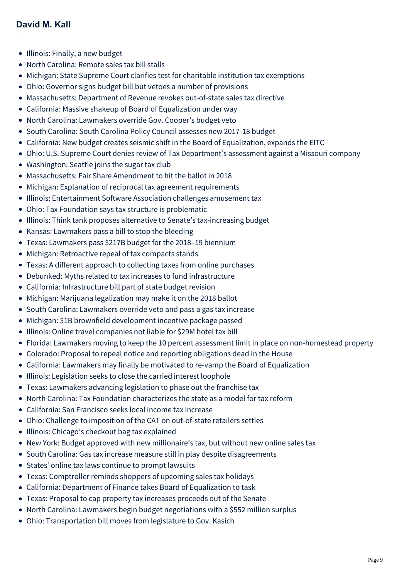- [Illinois: Finally, a new budget](https://mcdonaldhopkins.com/Insights/July-2017/Illinois-Finally-a-new-budget)
- [North Carolina: Remote sales tax bill stalls](https://mcdonaldhopkins.com/Insights/July-2017/North-Carolina-Remote-sales-tax-bill-stalls)
- [Michigan: State Supreme Court clarifies test for charitable institution tax exemptions](https://mcdonaldhopkins.com/Insights/July-2017/Michigan-State-Supreme-Court-clarifies-test-for-ch)
- [Ohio: Governor signs budget bill but vetoes a number of provisions](https://mcdonaldhopkins.com/Insights/July-2017/Ohio-Governor-signs-budget-bill-but-vetoes-a-numbe)
- [Massachusetts: Department of Revenue revokes out-of-state sales tax directive](https://mcdonaldhopkins.com/Insights/July-2017/Massachusetts-Department-of-Revenue-revokes-out-of)
- [California: Massive shakeup of Board of Equalization under way](https://mcdonaldhopkins.com/Insights/July-2017/California-Massive-shakeup-of-Board-of-Equalizatio)
- [North Carolina: Lawmakers override Gov. Cooper's budget veto](https://mcdonaldhopkins.com/Insights/June-2017/North-Carolina-Lawmakers-override-Gov-Cooper-budge)
- [South Carolina: South Carolina Policy Council assesses new 2017-18 budget](https://mcdonaldhopkins.com/Insights/June-2017/South-Carolina-South-Carolina-Policy-Council-asses)
- [California: New budget creates seismic shift in the Board of Equalization, expands the EITC](https://mcdonaldhopkins.com/Insights/June-2017/California-New-budget-creates-seismic-shift-in-the)
- [Ohio: U.S. Supreme Court denies review of Tax Department's assessment against a Missouri company](https://mcdonaldhopkins.com/Insights/June-2017/Ohio-US-Supreme-Court-denies-review-of-Tax-Departm)
- [Washington: Seattle joins the sugar tax club](https://mcdonaldhopkins.com/Insights/June-2017/Washington-Seattle-joins-the-sugar-tax-club)
- [Massachusetts: Fair Share Amendment to hit the ballot in 2018](https://mcdonaldhopkins.com/Insights/June-2017/Massachusetts-Fair-Share-Amendment-to-hit-the-ball)
- [Michigan: Explanation of reciprocal tax agreement requirements](https://mcdonaldhopkins.com/Insights/June-2017/Michigan-Explanation-of-reciprocal-tax-agreement-r)
- [Illinois: Entertainment Software Association challenges amusement tax](https://mcdonaldhopkins.com/Insights/June-2017/Illinois-Entertainment-Software-Association-challe)
- [Ohio: Tax Foundation says tax structure is problematic](https://mcdonaldhopkins.com/Insights/June-2017/Ohio-Tax-Foundation-says-tax-structure-is-problema)
- [Illinois: Think tank proposes alternative to Senate's tax-increasing budget](https://mcdonaldhopkins.com/Insights/June-2017/Illinois-Think-tank-proposes-alternative-to-Senate)
- [Kansas: Lawmakers pass a bill to stop the bleeding](https://mcdonaldhopkins.com/Insights/June-2017/Kansas-Lawmakers-pass-a-bill-to-stop-the-bleeding)
- [Texas: Lawmakers pass \\$217B budget for the 2018–19 biennium](https://mcdonaldhopkins.com/Insights/June-2017/Texas-Lawmakers-pass-217B-budget-for-the-201819-bi)
- [Michigan: Retroactive repeal of tax compacts stands](https://mcdonaldhopkins.com/Insights/June-2017/Michigan-Retroactive-repeal-of-tax-compacts-stands)
- [Texas: A different approach to collecting taxes from online purchases](https://mcdonaldhopkins.com/Insights/June-2017/Texas-A-different-approach-to-collecting-taxes-on)
- [Debunked: Myths related to tax increases to fund infrastructure](https://mcdonaldhopkins.com/Insights/May-2017/Debunked-Myths-related-to-tax-increases-to-fund-in)
- [California: Infrastructure bill part of state budget revision](https://mcdonaldhopkins.com/Insights/May-2017/California-Infrastructure-bill-part-of-state-budge)
- [Michigan: Marijuana legalization may make it on the 2018 ballot](https://mcdonaldhopkins.com/Insights/May-2017/Michigan-Marijuana-legalization-may-make-it-on-the)
- [South Carolina: Lawmakers override veto and pass a gas tax increase](https://mcdonaldhopkins.com/Insights/May-2017/South-Carolina-Lawmakers-override-veto-and-pass-a)
- [Michigan: \\$1B brownfield development incentive package passed](https://mcdonaldhopkins.com/Insights/May-2017/Michigan-1B-brownfield-development-incentive-packa)
- [Illinois: Online travel companies not liable for \\$29M hotel tax bill](https://mcdonaldhopkins.com/Insights/May-2017/Illinois-Online-travel-companies-not-liable-for-29)
- [Florida: Lawmakers moving to keep the 10 percent assessment limit in place on non-homestead property](https://mcdonaldhopkins.com/Insights/May-2017/Florida-Lawmakers-moving-to-keep-the-10-percent-as)
- [Colorado: Proposal to repeal notice and reporting obligations dead in the House](https://mcdonaldhopkins.com/Insights/May-2017/proposal-to-repeal-notice-and-reporting-obligation)
- [California: Lawmakers may finally be motivated to re-vamp the Board of Equalization](https://mcdonaldhopkins.com/Insights/May-2017/California-Lawmakers-may-finally-be-motivated-to-r)
- [Illinois: Legislation seeks to close the carried interest loophole](https://mcdonaldhopkins.com/Insights/May-2017/Illinois-Legislation-seeks-to-close-the-carried-in)
- [Texas: Lawmakers advancing legislation to phase out the franchise tax](https://mcdonaldhopkins.com/Insights/May-2017/Texas-Lawmakers-advancing-legislation-to-phase-out)
- [North Carolina: Tax Foundation characterizes the state as a model for tax reform](https://mcdonaldhopkins.com/Insights/April-2017/North-Carolina-Tax-Foundation-characterizes-the-st)
- [California: San Francisco seeks local income tax increase](https://mcdonaldhopkins.com/Insights/April-2017/California-San-Francisco-seeks-local-income-tax-in)
- [Ohio: Challenge to imposition of the CAT on out-of-state retailers settles](https://mcdonaldhopkins.com/Insights/April-2017/Ohio-Challenge-to-imposition-of-the-CAT-on-out-of)
- [Illinois: Chicago's checkout bag tax explained](https://mcdonaldhopkins.com/Insights/April-2017/Illinois-Chicagos-checkout-bag-tax-explained)
- [New York: Budget approved with new millionaire's tax, but without new online sales tax](https://mcdonaldhopkins.com/Insights/April-2017/New-York-Budget-approved-with-new-millionaires-tax)
- [South Carolina: Gas tax increase measure still in play despite disagreements](https://mcdonaldhopkins.com/Insights/April-2017/South-Carolina-Gas-tax-increase-measure-still-in-p)
- [States' online tax laws continue to prompt lawsuits](https://mcdonaldhopkins.com/Insights/April-2017/States-on-line-tax-laws-continue-to-prompt-lawsuit)
- [Texas: Comptroller reminds shoppers of upcoming sales tax holidays](https://mcdonaldhopkins.com/Insights/April-2017/Texas-Comptroller-reminds-shoppers-of-upcoming-sal)
- [California: Department of Finance takes Board of Equalization to task](https://mcdonaldhopkins.com/Insights/April-2017/California-Department-of-Finance-takes-Board-of-Eq)
- [Texas: Proposal to cap property tax increases proceeds out of the Senate](https://mcdonaldhopkins.com/Insights/April-2017/Texas-Proposal-to-cap-property-tax-increases-proce)
- [North Carolina: Lawmakers begin budget negotiations with a \\$552 million surplus](https://mcdonaldhopkins.com/Insights/April-2017/North-Carolina-Lawmakers-begin-budget-negotiations)
- [Ohio: Transportation bill moves from legislature to Gov. Kasich](https://mcdonaldhopkins.com/Insights/April-2017/Ohio-Transportation-bill-moves-from-legislature-to)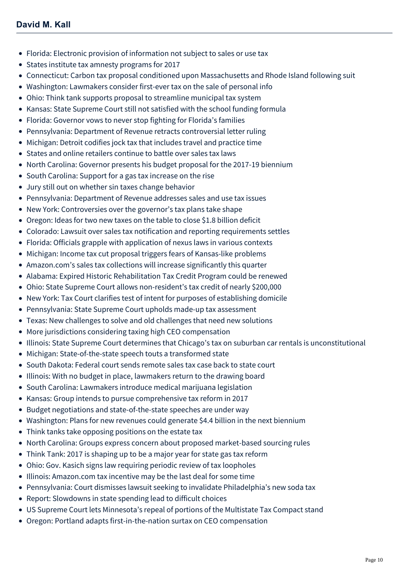- [Florida: Electronic provision of information not subject to sales or use tax](https://mcdonaldhopkins.com/Insights/March-2017/Florida-Electronic-provision-of-information-not-su)
- [States institute tax amnesty programs for 2017](https://mcdonaldhopkins.com/Insights/March-2017/States-institute-tax-amnesty-programs-for-2017)
- [Connecticut: Carbon tax proposal conditioned upon Massachusetts and Rhode Island following suit](https://mcdonaldhopkins.com/Insights/March-2017/Connecticut-Carbon-tax-proposal-conditioned-upon-M)
- [Washington: Lawmakers consider first-ever tax on the sale of personal info](https://mcdonaldhopkins.com/Insights/March-2017/Washington-Lawmakers-consider-first-ever-tax-on-th)
- [Ohio: Think tank supports proposal to streamline municipal tax system](https://mcdonaldhopkins.com/Insights/March-2017/Ohio-Think-tank-supports-proposal-to-streamline-mu)
- [Kansas: State Supreme Court still not satisfied with the school funding formula](https://mcdonaldhopkins.com/Insights/March-2017/Kansas-State-Supreme-Court-still-not-satisfied-wit)
- [Florida: Governor vows to never stop fighting for Florida's families](https://mcdonaldhopkins.com/Insights/March-2017/Florida-Governor-vows-to-never-stop-fighting-for-F)
- [Pennsylvania: Department of Revenue retracts controversial letter ruling](https://mcdonaldhopkins.com/Insights/March-2017/Pennsylvania-Department-of-Revenue-retracts-contro)
- [Michigan: Detroit codifies jock tax that includes travel and practice time](https://mcdonaldhopkins.com/Insights/March-2017/Michigan-Detroit-codifies-jock-tax-that-includes-t)
- [States and online retailers continue to battle over sales tax laws](https://mcdonaldhopkins.com/Insights/March-2017/States-and-online-retailers-continue-to-battle-ove)
- [North Carolina: Governor presents his budget proposal for the 2017-19 biennium](https://mcdonaldhopkins.com/Insights/March-2017/North-Carolina-Governor-presents-his-budget-propos)
- [South Carolina: Support for a gas tax increase on the rise](https://mcdonaldhopkins.com/Insights/March-2017/South-Carolina-Support-for-a-gas-tax-increase-on-t)
- [Jury still out on whether sin taxes change behavior](https://mcdonaldhopkins.com/Insights/March-2017/Jury-still-out-on-whether-sin-taxes-change-behavio)
- [Pennsylvania: Department of Revenue addresses sales and use tax issues](https://mcdonaldhopkins.com/Insights/March-2017/Pennsylvania-Department-of-Revenue-addresses-sales)
- [New York: Controversies over the governor's tax plans take shape](https://mcdonaldhopkins.com/Insights/March-2017/New-York-Controversies-over-the-governor-s-tax-pla)
- [Oregon: Ideas for two new taxes on the table to close \\$1.8 billion deficit](https://mcdonaldhopkins.com/Insights/March-2017/Oregon-Ideas-for-two-new-taxes-on-the-table-to-clo)
- [Colorado: Lawsuit over sales tax notification and reporting requirements settles](https://mcdonaldhopkins.com/Insights/March-2017/Colorado-Lawsuit-over-sales-tax-notification-and-r)
- [Florida: Officials grapple with application of nexus laws in various contexts](https://mcdonaldhopkins.com/Insights/February-2017/Florida-Officials-grapple-with-application-of-nexu)
- [Michigan: Income tax cut proposal triggers fears of Kansas-like problems](https://mcdonaldhopkins.com/Insights/February-2017/Michigan-Income-tax-cut-proposal-triggers-fears-of)
- [Amazon.com's sales tax collections will increase significantly this quarter](https://mcdonaldhopkins.com/Insights/February-2017/Amazon-com-s-sales-tax-collections-will-increase-s)
- [Alabama: Expired Historic Rehabilitation Tax Credit Program could be renewed](https://mcdonaldhopkins.com/Insights/February-2017/Alabama-Expired-Historic-Rehabilitation-Tax-Credit)
- [Ohio: State Supreme Court allows non-resident's tax credit of nearly \\$200,000](https://mcdonaldhopkins.com/Insights/February-2017/Ohio-State-Supreme-Court-allows-nonresidents-tax-c)
- [New York: Tax Court clarifies test of intent for purposes of establishing domicile](https://mcdonaldhopkins.com/Insights/February-2017/New-York-Tax-Court-clarifies-test-of-intent-for-pu)
- [Pennsylvania: State Supreme Court upholds made-up tax assessment](https://mcdonaldhopkins.com/Insights/February-2017/Pennsylvania-State-Supreme-Court-upholds-made-up-t)
- [Texas: New challenges to solve and old challenges that need new solutions](https://mcdonaldhopkins.com/Insights/February-2017/Texas-New-challenges-to-solve-and-old-challenges-t)
- [More jurisdictions considering taxing high CEO compensation](https://mcdonaldhopkins.com/Insights/February-2017/More-jurisdictions-considering-taxing-high-CEO-com)
- [Illinois: State Supreme Court determines that Chicago's tax on suburban car rentals is unconstitutional](https://mcdonaldhopkins.com/Insights/February-2017/Illinois-Supreme-Court-determines-that-Chicagos-ta)
- [Michigan: State-of-the-state speech touts a transformed state](https://mcdonaldhopkins.com/Insights/January-2017/Michigan-State-of-the-state-speech-touts-a-transfo)
- [South Dakota: Federal court sends remote sales tax case back to state court](https://mcdonaldhopkins.com/Insights/January-2017/South-Dakota-Federal-court-sends-remote-sales-tax)
- [Illinois: With no budget in place, lawmakers return to the drawing board](https://mcdonaldhopkins.com/Insights/January-2017/Illinois-With-no-budget-in-place-lawmakers-return)
- [South Carolina: Lawmakers introduce medical marijuana legislation](https://mcdonaldhopkins.com/Insights/January-2017/South-Carolina-lawmakers-introduce-medical-marijua)
- [Kansas: Group intends to pursue comprehensive tax reform in 2017](https://mcdonaldhopkins.com/Insights/January-2017/Kansas-Group-intends-to-pursue-comprehensive-tax-r)
- [Budget negotiations and state-of-the-state speeches are under way](https://mcdonaldhopkins.com/Insights/January-2017/Budget-negotiations-and-stateofthestate-speeches-a)
- [Washington: Plans for new revenues could generate \\$4.4 billion in the next biennium](https://mcdonaldhopkins.com/Insights/January-2017/Washington-Plans-for-new-revenues-could-generate-4)
- [Think tanks take opposing positions on the estate tax](https://mcdonaldhopkins.com/Insights/January-2017/Think-tanks-take-opposing-positions-on-the-estate)
- [North Carolina: Groups express concern about proposed market-based sourcing rules](https://mcdonaldhopkins.com/Insights/January-2017/North-Carolina-Groups-express-concern-about-propos)
- [Think Tank: 2017 is shaping up to be a major year for state gas tax reform](https://mcdonaldhopkins.com/Insights/January-2017/Think-Tank-2017-is-shaping-up-to-be-a-major-year-f)
- [Ohio: Gov. Kasich signs law requiring periodic review of tax loopholes](https://mcdonaldhopkins.com/Insights/January-2017/Ohio-Gov-Kasich-signs-law-requiring-periodic-revie)
- [Illinois: Amazon.com tax incentive may be the last deal for some time](https://mcdonaldhopkins.com/Insights/January-2017/Illinois-Amazon-com-tax-incentive-may-be-the-last)
- [Pennsylvania: Court dismisses lawsuit seeking to invalidate Philadelphia's new soda tax](https://mcdonaldhopkins.com/Insights/December-2016/Pennsylvania-Court-dismisses-lawsuit-seeking-to-in)
- [Report: Slowdowns in state spending lead to difficult choices](https://mcdonaldhopkins.com/Insights/December-2016/Report-Slowdowns-in-state-spending-lead-to-difficu)
- [US Supreme Court lets Minnesota's repeal of portions of the Multistate Tax Compact stand](https://mcdonaldhopkins.com/Insights/December-2016/US-Supreme-Court-lets-Minnesotas-repeal-of-portion)
- [Oregon: Portland adapts first-in-the-nation surtax on CEO compensation](https://mcdonaldhopkins.com/Insights/December-2016/Oregon-Portland-adapts-first-in-the-nation-surtax)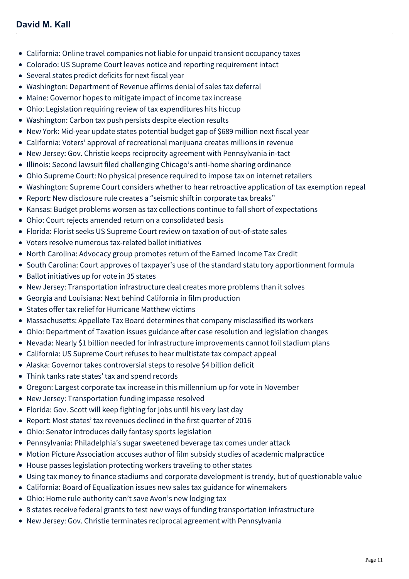- [California: Online travel companies not liable for unpaid transient occupancy taxes](https://mcdonaldhopkins.com/Insights/December-2016/California-Online-travel-companies-not-liable-for)
- [Colorado: US Supreme Court leaves notice and reporting requirement intact](https://mcdonaldhopkins.com/Insights/December-2016/Colorado-US-Supreme-Court-leaves-notice-and-report)
- [Several states predict deficits for next fiscal year](https://mcdonaldhopkins.com/Insights/December-2016/Several-states-predict-deficits-for-next-fiscal-ye)
- [Washington: Department of Revenue affirms denial of sales tax deferral](https://mcdonaldhopkins.com/Insights/December-2016/Washington-Department-of-Revenue-affirms-denial-of)
- [Maine: Governor hopes to mitigate impact of income tax increase](https://mcdonaldhopkins.com/Insights/December-2016/Maine-Governor-hopes-to-mitigate-impact-of-income)
- [Ohio: Legislation requiring review of tax expenditures hits hiccup](https://mcdonaldhopkins.com/Insights/December-2016/Ohio-Legislation-requiring-review-of-tax-expenditu)
- [Washington: Carbon tax push persists despite election results](https://mcdonaldhopkins.com/Insights/December-2016/Washington-Carbon-tax-push-persists-despite-electi)
- [New York: Mid-year update states potential budget gap of \\$689 million next fiscal year](https://mcdonaldhopkins.com/Insights/December-2016/New-York-Mid-year-update-states-potential-budget-g)
- [California: Voters' approval of recreational marijuana creates millions in revenue](https://mcdonaldhopkins.com/Insights/December-2016/California-Voters-approval-of-recreational-marijua)
- [New Jersey: Gov. Christie keeps reciprocity agreement with Pennsylvania in-tact](https://mcdonaldhopkins.com/Insights/December-2016/New-Jersey-Gov-Christie-keeps-reciprocity-agreemen)
- [Illinois: Second lawsuit filed challenging Chicago's anti-home sharing ordinance](https://mcdonaldhopkins.com/Insights/November-2016/Illinois-Second-lawsuit-filed-challenging-Chicagos)
- [Ohio Supreme Court: No physical presence required to impose tax on internet retailers](https://mcdonaldhopkins.com/Insights/November-2016/Ohio-Supreme-Court-No-physical-presence-required-t)
- [Washington: Supreme Court considers whether to hear retroactive application of tax exemption repeal](https://mcdonaldhopkins.com/Insights/November-2016/Washington-Supreme-Court-considers-whether-to-hear)
- [Report: New disclosure rule creates a "seismic shift in corporate tax breaks"](https://mcdonaldhopkins.com/Insights/November-2016/Report-New-disclosure-rule-creates-a-seismic-shift)
- [Kansas: Budget problems worsen as tax collections continue to fall short of expectations](https://mcdonaldhopkins.com/Insights/November-2016/Kansas-Budget-problems-worsen-as-tax-collections-c)
- [Ohio: Court rejects amended return on a consolidated basis](https://mcdonaldhopkins.com/Insights/November-2016/Ohio-Court-rejects-amended-return-on-a-consolidate)
- [Florida: Florist seeks US Supreme Court review on taxation of out-of-state sales](https://mcdonaldhopkins.com/Insights/November-2016/Florida-Florist-seeks-US-Supreme-Court-review-on-t)
- [Voters resolve numerous tax-related ballot initiatives](https://mcdonaldhopkins.com/Insights/November-2016/Voters-resolve-numerous-tax-related-ballot-initiat)
- [North Carolina: Advocacy group promotes return of the Earned Income Tax Credit](https://mcdonaldhopkins.com/Insights/November-2016/North-Carolina-Advocacy-group-promotes-return-of-t)
- [South Carolina: Court approves of taxpayer's use of the standard statutory apportionment formula](https://mcdonaldhopkins.com/Insights/November-2016/South-Carolina-Court-approves-of-taxpayers-use-of)
- [Ballot initiatives up for vote in 35 states](https://mcdonaldhopkins.com/Insights/November-2016/Ballot-initiatives-up-for-vote-in-35-states)
- [New Jersey: Transportation infrastructure deal creates more problems than it solves](https://mcdonaldhopkins.com/Insights/November-2016/New-Jersey-Transportation-infrastructure-deal-crea)
- [Georgia and Louisiana: Next behind California in film production](https://mcdonaldhopkins.com/Insights/November-2016/Georgia-and-Louisiana-Next-behind-California-in-fi)
- [States offer tax relief for Hurricane Matthew victims](https://mcdonaldhopkins.com/Insights/October-2016/States-offer-tax-relief-for-Hurricane-Matthew-vict)
- [Massachusetts: Appellate Tax Board determines that company misclassified its workers](https://mcdonaldhopkins.com/Insights/October-2016/Massachusetts-Appellate-Tax-Board-determines-that)
- [Ohio: Department of Taxation issues guidance after case resolution and legislation changes](https://mcdonaldhopkins.com/Insights/October-2016/Ohio-Department-of-Taxation-issues-guidance-after)
- [Nevada: Nearly \\$1 billion needed for infrastructure improvements cannot foil stadium plans](https://mcdonaldhopkins.com/Insights/October-2016/Nevada-Nearly-1-billion-needed-for-infrastructure)
- [California: US Supreme Court refuses to hear multistate tax compact appeal](https://mcdonaldhopkins.com/Insights/October-2016/California-US-Supreme-Court-refuses-to-hear-multis)
- [Alaska: Governor takes controversial steps to resolve \\$4 billion deficit](https://mcdonaldhopkins.com/Insights/October-2016/Alaska-Governor-takes-controversial-steps-to-resol)
- [Think tanks rate states' tax and spend records](https://mcdonaldhopkins.com/Insights/October-2016/Think-tanks-rate-states-tax-and-spend-records)
- [Oregon: Largest corporate tax increase in this millennium up for vote in November](https://mcdonaldhopkins.com/Insights/October-2016/Oregon-Largest-corporate-tax-increase-in-this-mill)
- [New Jersey: Transportation funding impasse resolved](https://mcdonaldhopkins.com/Insights/October-2016/New-Jersey-Transportation-funding-impasse-resolved)
- [Florida: Gov. Scott will keep fighting for jobs until his very last day](https://mcdonaldhopkins.com/Insights/October-2016/Florida-Gov-Scott-will-keep-fighting-for-jobs-unti)
- [Report: Most states' tax revenues declined in the first quarter of 2016](https://mcdonaldhopkins.com/Insights/October-2016/Report-Most-states-tax-revenues-declined-in-the-fi)
- [Ohio: Senator introduces daily fantasy sports legislation](https://mcdonaldhopkins.com/Insights/October-2016/Ohio-Senator-introduces-daily-fantasy-sports-legis)
- [Pennsylvania: Philadelphia's sugar sweetened beverage tax comes under attack](https://mcdonaldhopkins.com/Insights/September-2016/Pennsylvania-Philadelphias-sugar-sweetened-beverag)
- [Motion Picture Association accuses author of film subsidy studies of academic malpractice](https://mcdonaldhopkins.com/Insights/September-2016/Motion-Picture-Association-accuses-author-of-film)
- [House passes legislation protecting workers traveling to other states](https://mcdonaldhopkins.com/Insights/September-2016/House-passes-legislation-protecting-workers-travel)
- [Using tax money to finance stadiums and corporate development is trendy, but of questionable value](https://mcdonaldhopkins.com/Insights/September-2016/Using-tax-money-to-finance-stadiums-and-corporate)
- [California: Board of Equalization issues new sales tax guidance for winemakers](https://mcdonaldhopkins.com/Insights/September-2016/California-Board-of-Equalization-issues-new-sales)
- [Ohio: Home rule authority can't save Avon's new lodging tax](https://mcdonaldhopkins.com/Insights/September-2016/Ohio-Home-rule-authority-cant-save-Avons-new-lodgi)
- [8 states receive federal grants to test new ways of funding transportation infrastructure](https://mcdonaldhopkins.com/Insights/September-2016/8-states-receive-federal-grants-to-test-new-ways-o)
- [New Jersey: Gov. Christie terminates reciprocal agreement with Pennsylvania](https://mcdonaldhopkins.com/Insights/September-2016/New-Jersey-Gov-Christie-terminates-reciprocal-agre)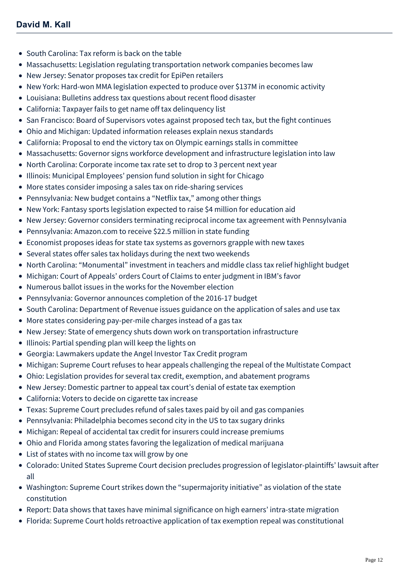- [South Carolina: Tax reform is back on the table](https://mcdonaldhopkins.com/Insights/September-2016/South-Carolina-Tax-reform-is-back-on-the-table)
- [Massachusetts: Legislation regulating transportation network companies becomes law](https://mcdonaldhopkins.com/Insights/September-2016/Massachusetts-Legislation-regulating-transportatio)
- [New Jersey: Senator proposes tax credit for EpiPen retailers](https://mcdonaldhopkins.com/Insights/September-2016/New-Jersey-Senator-proposes-tax-credit-for-EpiPen)
- [New York: Hard-won MMA legislation expected to produce over \\$137M in economic activity](https://mcdonaldhopkins.com/Insights/September-2016/New-York-Hard-won-MMA-legislation-to-produce-137M)
- [Louisiana: Bulletins address tax questions about recent flood disaster](https://mcdonaldhopkins.com/Insights/September-2016/Louisiana-bulletins-address-tax-questions-about-re)
- [California: Taxpayer fails to get name off tax delinquency list](https://mcdonaldhopkins.com/Insights/September-2016/California-Taxpayers-fails-to-get-name-off-tax-del)
- [San Francisco: Board of Supervisors votes against proposed tech tax, but the fight continues](https://mcdonaldhopkins.com/Insights/August-2016/San-Francisco-Board-of-Supervisors-votes-against-p)
- [Ohio and Michigan: Updated information releases explain nexus standards](https://mcdonaldhopkins.com/Insights/August-2016/Ohio-and-Michigan-Updated-information-releases-exp)
- [California: Proposal to end the victory tax on Olympic earnings stalls in committee](https://mcdonaldhopkins.com/Insights/August-2016/California-Proposal-to-end-the-victory-tax-on-Olym)
- [Massachusetts: Governor signs workforce development and infrastructure legislation into law](https://mcdonaldhopkins.com/Insights/August-2016/Massachusetts-Governor-signs-workforce-development)
- [North Carolina: Corporate income tax rate set to drop to 3 percent next year](https://mcdonaldhopkins.com/Insights/August-2016/North-Carolina-Corporate-income-tax-rate-set-to-dr)
- [Illinois: Municipal Employees' pension fund solution in sight for Chicago](https://mcdonaldhopkins.com/Insights/August-2016/Illinois-Municipal-Employees-pension-fund-solution)
- [More states consider imposing a sales tax on ride-sharing services](https://mcdonaldhopkins.com/Insights/August-2016/More-states-consider-imposing-a-sales-tax-on-ride)
- [Pennsylvania: New budget contains a "Netflix tax," among other things](https://mcdonaldhopkins.com/Insights/August-2016/Pennsylvania-New-budget-contains-a-Netflix-tax-amo)
- [New York: Fantasy sports legislation expected to raise \\$4 million for education aid](https://mcdonaldhopkins.com/Insights/August-2016/New-York-Fantasy-sports-legislation-expected-to-ra)
- [New Jersey: Governor considers terminating reciprocal income tax agreement with Pennsylvania](https://mcdonaldhopkins.com/Insights/August-2016/New-Jersey-Governor-considers-terminating-reciproc)
- [Pennsylvania: Amazon.com to receive \\$22.5 million in state funding](https://mcdonaldhopkins.com/Insights/August-2016/Pennsylvania-Amazon-com-to-receive-22-5-million-in)
- [Economist proposes ideas for state tax systems as governors grapple with new taxes](https://mcdonaldhopkins.com/Insights/August-2016/Economist-proposes-ideas-for-state-tax-systems-as)
- [Several states offer sales tax holidays during the next two weekends](https://mcdonaldhopkins.com/Insights/July-2016/Several-states-offer-sales-tax-holidays-during-the)
- [North Carolina: "Monumental" investment in teachers and middle class tax relief highlight budget](https://mcdonaldhopkins.com/Insights/July-2016/North-Carolina-Monumental-investment-in-teachers-a)
- [Michigan: Court of Appeals' orders Court of Claims to enter judgment in IBM's favor](https://mcdonaldhopkins.com/Insights/July-2016/Michigan-Court-of-Appeals-orders-Court-of-Claims-t)
- [Numerous ballot issues in the works for the November election](https://mcdonaldhopkins.com/Insights/July-2016/Numerous-ballot-issues-in-the-works-for-the-Novemb)
- [Pennsylvania: Governor announces completion of the 2016-17 budget](https://mcdonaldhopkins.com/Insights/July-2016/Pennsylvania-Governor-announces-completion-of-the)
- [South Carolina: Department of Revenue issues guidance on the application of sales and use tax](https://mcdonaldhopkins.com/Insights/July-2016/South-Carolina-Department-of-Revenue-issues-guida)
- [More states considering pay-per-mile charges instead of a gas tax](https://mcdonaldhopkins.com/Insights/July-2016/More-states-considering-pay-per-mile-charges-inste)
- [New Jersey: State of emergency shuts down work on transportation infrastructure](https://mcdonaldhopkins.com/Insights/July-2016/New-Jersey-State-of-emergency-shuts-down-work-on-t)
- [Illinois: Partial spending plan will keep the lights on](https://mcdonaldhopkins.com/Insights/July-2016/Illinois-Partial-spending-plan-will-keep-the-light)
- [Georgia: Lawmakers update the Angel Investor Tax Credit program](https://mcdonaldhopkins.com/Insights/July-2016/Georgia-Lawmakers-update-the-Angel-Investor-Tax-Cr)
- [Michigan: Supreme Court refuses to hear appeals challenging the repeal of the Multistate Compact](https://mcdonaldhopkins.com/Insights/July-2016/Michigan-Supreme-Court-refuses-to-hear-appeals-cha)
- [Ohio: Legislation provides for several tax credit, exemption, and abatement programs](https://mcdonaldhopkins.com/Insights/July-2016/Ohio-Legislation-provides-for-several-tax-credit-e)
- [New Jersey: Domestic partner to appeal tax court's denial of estate tax exemption](https://mcdonaldhopkins.com/Insights/June-2016/New-Jersey-Domestic-partner-to-appeal-tax-courts-d)
- [California: Voters to decide on cigarette tax increase](https://mcdonaldhopkins.com/Insights/June-2016/California-Voters-to-decide-on-cigarette-tax-incre)
- [Texas: Supreme Court precludes refund of sales taxes paid by oil and gas companies](https://mcdonaldhopkins.com/Insights/June-2016/Texas-Supreme-Court-precludes-refund-of-sales-taxe)
- [Pennsylvania: Philadelphia becomes second city in the US to tax sugary drinks](https://mcdonaldhopkins.com/Insights/June-2016/Pennsylvania-Philadelphia-becomes-second-city-in-t)
- [Michigan: Repeal of accidental tax credit for insurers could increase premiums](https://mcdonaldhopkins.com/Insights/June-2016/Michigan-Repeal-of-accidental-tax-credit-for-insur)
- [Ohio and Florida among states favoring the legalization of medical marijuana](https://mcdonaldhopkins.com/Insights/June-2016/Ohio-and-Florida-among-states-favoring-the-legaliz)
- [List of states with no income tax will grow by one](https://mcdonaldhopkins.com/Insights/June-2016/List-of-states-with-no-income-tax-will-grow-by-one)
- [Colorado: United States Supreme Court decision precludes progression of legislator-plaintiffs' lawsuit after](https://mcdonaldhopkins.com/Insights/June-2016/Colorado-United-States-Supreme-Court-decision-prec) all
- [Washington: Supreme Court strikes down the "supermajority initiative" as violation of the state](https://mcdonaldhopkins.com/Insights/June-2016/Washington-Supreme-Court-strikes-down-the-supermaj) constitution
- [Report: Data shows that taxes have minimal significance on high earners' intra-state migration](https://mcdonaldhopkins.com/Insights/June-2016/Report-Data-shows-that-taxes-have-minimal-signific)
- [Florida: Supreme Court holds retroactive application of tax exemption repeal was constitutional](https://mcdonaldhopkins.com/Insights/June-2016/Florida-Supreme-Court-holds-retroactive-applicatio)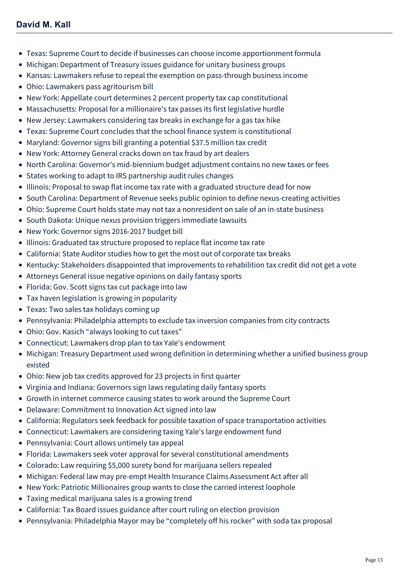- [Texas: Supreme Court to decide if businesses can choose income apportionment formula](https://mcdonaldhopkins.com/Insights/June-2016/Texas-Supreme-Court-to-decide-if-businesses-can-ch)
- [Michigan: Department of Treasury issues guidance for unitary business groups](https://mcdonaldhopkins.com/Insights/June-2016/Michigan-Department-of-Treasury-issues-guidance-fo)
- [Kansas: Lawmakers refuse to repeal the exemption on pass-through business income](https://mcdonaldhopkins.com/Insights/June-2016/Kansas-Lawmakers-refuse-to-repeal-the-exemption-on)
- [Ohio: Lawmakers pass agritourism bill](https://mcdonaldhopkins.com/Insights/June-2016/Ohio-Lawmakers-pass-agritourism-bill)
- [New York: Appellate court determines 2 percent property tax cap constitutional](https://mcdonaldhopkins.com/Insights/May-2016/New-York-Appellate-court-determines-2-percent-prop)
- [Massachusetts: Proposal for a millionaire's tax passes its first legislative hurdle](https://mcdonaldhopkins.com/Insights/May-2016/Massachusetts-Proposal-for-a-millionaires-tax-pass)
- [New Jersey: Lawmakers considering tax breaks in exchange for a gas tax hike](https://mcdonaldhopkins.com/Insights/May-2016/New-Jersey-Lawmakers-considering-tax-breaks-in-exc)
- [Texas: Supreme Court concludes that the school finance system is constitutional](https://mcdonaldhopkins.com/Insights/May-2016/Texas-Supreme-Court-concludes-that-the-school-fina)
- [Maryland: Governor signs bill granting a potential \\$37.5 million tax credit](https://mcdonaldhopkins.com/Insights/May-2016/Maryland-Governor-signs-bill-granting-a-potential)
- [New York: Attorney General cracks down on tax fraud by art dealers](https://mcdonaldhopkins.com/Insights/May-2016/New-York-Attorney-General-cracks-down-on-tax-fraud)
- [North Carolina: Governor's mid-biennium budget adjustment contains no new taxes or fees](https://mcdonaldhopkins.com/Insights/May-2016/North-Carolina-Governors-mid-biennium-budget-adjus)
- [States working to adapt to IRS partnership audit rules changes](https://mcdonaldhopkins.com/Insights/May-2016/States-working-to-adapt-to-IRS-partnership-audit-r)
- [Illinois: Proposal to swap flat income tax rate with a graduated structure dead for now](https://mcdonaldhopkins.com/Insights/May-2016/Illinois-Proposal-to-swap-flat-income-tax-rate-wit)
- [South Carolina: Department of Revenue seeks public opinion to define nexus-creating activities](https://mcdonaldhopkins.com/Insights/May-2016/South-Carolina-Department-of-Revenue-seeks-public)
- [Ohio: Supreme Court holds state may not tax a nonresident on sale of an in-state business](https://mcdonaldhopkins.com/Insights/May-2016/Ohio-Supreme-Court-holds-state-may-not-tax-a-nonr)
- [South Dakota: Unique nexus provision triggers immediate lawsuits](https://mcdonaldhopkins.com/Insights/May-2016/South-Dakota-Unique-nexus-provision-triggers-immed)
- [New York: Governor signs 2016-2017 budget bill](https://mcdonaldhopkins.com/Insights/May-2016/New-York-Governor-signs-2016-2017-budget-bill)
- [Illinois: Graduated tax structure proposed to replace flat income tax rate](https://mcdonaldhopkins.com/Insights/May-2016/Illinois-Graduated-tax-structure-proposed-to-repla)
- [California: State Auditor studies how to get the most out of corporate tax breaks](https://mcdonaldhopkins.com/Insights/April-2016/California-State-Auditor-studies-how-to-get-the-m)
- [Kentucky: Stakeholders disappointed that improvements to rehabilition tax credit did not get a vote](https://mcdonaldhopkins.com/Insights/April-2016/Kentucky-Stakeholders-disappointed-that-improveme)
- [Attorneys General issue negative opinions on daily fantasy sports](https://mcdonaldhopkins.com/Insights/April-2016/Attorneys-General-issue-negative-opinions-on-daily)
- [Florida: Gov. Scott signs tax cut package into law](https://mcdonaldhopkins.com/Insights/April-2016/Florida-Gov-Scott-signs-tax-cut-package-into-law)
- [Tax haven legislation is growing in popularity](https://mcdonaldhopkins.com/Insights/April-2016/Tax-haven-legislation-is-growing-in-popularity)
- [Texas: Two sales tax holidays coming up](https://mcdonaldhopkins.com/Insights/April-2016/Texas-Two-sales-tax-holidays-coming-up)
- [Pennsylvania: Philadelphia attempts to exclude tax inversion companies from city contracts](https://mcdonaldhopkins.com/Insights/April-2016/Pennsylvania-Philadelphia-attempts-to-exclude-tax)
- [Ohio: Gov. Kasich "always looking to cut taxes"](https://mcdonaldhopkins.com/Insights/April-2016/Ohio-Gov-Kasich-always-looking-to-cut-taxes%E2%80%9D)
- [Connecticut: Lawmakers drop plan to tax Yale's endowment](https://mcdonaldhopkins.com/Insights/April-2016/Connecticut-Lawmakers-drop-plan-to-tax-Yale-s-end)
- [Michigan: Treasury Department used wrong definition in determining whether a unified business group](https://mcdonaldhopkins.com/Insights/April-2016/Michigan-Treasury-Department-used-wrong-definitio) existed
- [Ohio: New job tax credits approved for 23 projects in first quarter](https://mcdonaldhopkins.com/Insights/April-2016/Ohio-New-job-tax-credits-approved-for-23-projects)
- [Virginia and Indiana: Governors sign laws regulating daily fantasy sports](https://mcdonaldhopkins.com/Insights/April-2016/Virginia-and-Indiana-Governors-sign-laws-regulati)
- [Growth in internet commerce causing states to work around the Supreme Court](https://mcdonaldhopkins.com/Insights/April-2016/Growth-in-internet-commerce-causing-states-to-work)
- [Delaware: Commitment to Innovation Act signed into law](https://mcdonaldhopkins.com/Insights/April-2016/Delaware-Commitment-to-Innovation-Act-signed-into)
- [California: Regulators seek feedback for possible taxation of space transportation activities](https://mcdonaldhopkins.com/Insights/April-2016/California-Regulators-seek-feedback-for-possible)
- [Connecticut: Lawmakers are considering taxing Yale's large endowment fund](https://mcdonaldhopkins.com/Insights/April-2016/Connecticut-Lawmakers-are-considering-taxing-Yale)
- [Pennsylvania: Court allows untimely tax appeal](https://mcdonaldhopkins.com/Insights/March-2016/Pennsylvania-Court-allows-untimely-tax-appeal)
- [Florida: Lawmakers seek voter approval for several constitutional amendments](https://mcdonaldhopkins.com/Insights/March-2016/Florida-Lawmakers-seek-voter-approval-for-several)
- [Colorado: Law requiring \\$5,000 surety bond for marijuana sellers repealed](https://mcdonaldhopkins.com/Insights/March-2016/Colorado-Law-requiring-$5,000-surety-bond-for-mar)
- [Michigan: Federal law may pre-empt Health Insurance Claims Assessment Act after all](https://mcdonaldhopkins.com/Insights/March-2016/Michigan-Federal-law-may-pre-empt-Health-Insuranc)
- [New York: Patriotic Millionaires group wants to close the carried interest loophole](https://mcdonaldhopkins.com/Insights/March-2016/New-York-Patriotic-Millionaires-group-wants-to-cl)
- [Taxing medical marijuana sales is a growing trend](https://mcdonaldhopkins.com/Insights/March-2016/Taxing-medical-marijuana-sales-is-a-growing-trend)
- [California: Tax Board issues guidance after court ruling on election provision](https://mcdonaldhopkins.com/Insights/March-2016/California-Tax-Board-issues-guidance-after-court)
- [Pennsylvania: Philadelphia Mayor may be "completely off his rocker" with soda tax proposal](https://mcdonaldhopkins.com/Insights/March-2016/Pennsylvania-Philadelphia-Mayor-may-be-completel)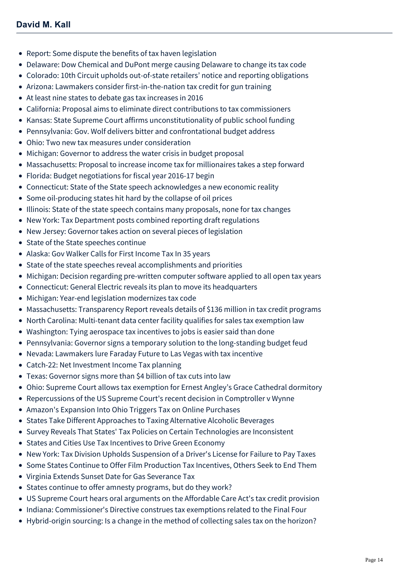- [Report: Some dispute the benefits of tax haven legislation](https://mcdonaldhopkins.com/Insights/March-2016/Report-Some-dispute-the-benefits-of-tax-haven-leg)
- [Delaware: Dow Chemical and DuPont merge causing Delaware to change its tax code](https://mcdonaldhopkins.com/Insights/March-2016/Delaware-Dow-Chemical-and-DuPont-merge-causing-De)
- [Colorado: 10th Circuit upholds out-of-state retailers' notice and reporting obligations](https://mcdonaldhopkins.com/Insights/March-2016/Colorado-10th-Circuit-upholds-out-of-state-retail)
- [Arizona: Lawmakers consider first-in-the-nation tax credit for gun training](https://mcdonaldhopkins.com/Insights/March-2016/Arizona-Lawmakers-consider-first-in-the-nation-ta)
- [At least nine states to debate gas tax increases in 2016](https://mcdonaldhopkins.com/Insights/February-2016/At-least-nine-states-to-debate-gas-tax-increases-i)
- [California: Proposal aims to eliminate direct contributions to tax commissioners](https://mcdonaldhopkins.com/Insights/February-2016/California-Proposal-aims-to-eliminate-direct-cont)
- [Kansas: State Supreme Court affirms unconstitutionality of public school funding](https://mcdonaldhopkins.com/Insights/February-2016/Kansas-State-Supreme-Court-affirms-unconstitution)
- [Pennsylvania: Gov. Wolf delivers bitter and confrontational budget address](https://mcdonaldhopkins.com/Insights/February-2016/Pennsylvania-Gov-Wolf-delivers-bitter-and-confro)
- [Ohio: Two new tax measures under consideration](https://mcdonaldhopkins.com/Insights/February-2016/Ohio-Two-new-tax-measures-under-consideration)
- [Michigan: Governor to address the water crisis in budget proposal](https://mcdonaldhopkins.com/Insights/February-2016/Michigan-Governor-to-address-the-water-crisis-in)
- [Massachusetts: Proposal to increase income tax for millionaires takes a step forward](https://mcdonaldhopkins.com/Insights/February-2016/Massachusetts-Proposal-to-increase-income-tax-for)
- [Florida: Budget negotiations for fiscal year 2016-17 begin](https://mcdonaldhopkins.com/Insights/February-2016/Florida-Budget-negotiations-for-fiscal-year-2016)
- [Connecticut: State of the State speech acknowledges a new economic reality](https://mcdonaldhopkins.com/Insights/February-2016/Connecticut-State-of-the-State-speech-acknowledge)
- [Some oil-producing states hit hard by the collapse of oil prices](https://mcdonaldhopkins.com/Insights/February-2016/Some-oil-producing-states-hit-hard-by-the-collapse)
- [Illinois: State of the state speech contains many proposals, none for tax changes](https://mcdonaldhopkins.com/Insights/February-2016/Illinois-State-of-the-state-speech-contains-many)
- [New York: Tax Department posts combined reporting draft regulations](https://mcdonaldhopkins.com/Insights/February-2016/New-York-Tax-Department-posts-combined-reporting)
- [New Jersey: Governor takes action on several pieces of legislation](https://mcdonaldhopkins.com/Insights/February-2016/New-Jersey-Governor-takes-action-on-several-piece)
- [State of the State speeches continue](https://mcdonaldhopkins.com/Insights/February-2016/State-of-the-State-speeches-continue)
- [Alaska: Gov Walker Calls for First Income Tax In 35 years](https://mcdonaldhopkins.com/Insights/February-2016/Alaska-Gov-Walker-Calls-for-First-Income-Tax-In-3)
- [State of the state speeches reveal accomplishments and priorities](https://mcdonaldhopkins.com/Insights/January-2016/State-of-the-state-speeches-reveal-accomplishments)
- [Michigan: Decision regarding pre-written computer software applied to all open tax years](https://mcdonaldhopkins.com/Insights/January-2016/Michigan-Decision-regarding-pre-written-computer)
- [Connecticut: General Electric reveals its plan to move its headquarters](https://mcdonaldhopkins.com/Insights/January-2016/Connecticut-General-Electric-reveals-its-plan-to)
- [Michigan: Year-end legislation modernizes tax code](https://mcdonaldhopkins.com/Insights/January-2016/Michigan-Year-end-legislation-modernizes-tax-code)
- [Massachusetts: Transparency Report reveals details of \\$136 million in tax credit programs](https://mcdonaldhopkins.com/Insights/January-2016/Massachusetts-Transparency-Report-reveals-details)
- [North Carolina: Multi-tenant data center facility qualifies for sales tax exemption law](https://mcdonaldhopkins.com/Insights/January-2016/North-Carolina-Multi-tenant-data-center-facility)
- [Washington: Tying aerospace tax incentives to jobs is easier said than done](https://mcdonaldhopkins.com/Insights/January-2016/Washington-Tying-aerospace-tax-incentives-to-jobs)
- [Pennsylvania: Governor signs a temporary solution to the long-standing budget feud](https://mcdonaldhopkins.com/Insights/January-2016/Pennsylvania-Governor-signs-a-temporary-solution)
- [Nevada: Lawmakers lure Faraday Future to Las Vegas with tax incentive](https://mcdonaldhopkins.com/Insights/January-2016/Nevada-Lawmakers-lure-Faraday-Future-to-Las-Vegas)
- [Catch-22: Net Investment Income Tax planning](https://mcdonaldhopkins.com/Insights/November-2015/Catch-22-Net-Investment-Income-Tax-planning)
- [Texas: Governor signs more than \\$4 billion of tax cuts into law](https://mcdonaldhopkins.com/Insights/June-2015/Texas-Governor-signs-more-than-$4-billion-of-tax)
- [Ohio: Supreme Court allows tax exemption for Ernest Angley's Grace Cathedral dormitory](https://mcdonaldhopkins.com/Insights/June-2015/Ohio-Supreme-Court-allows-tax-exemption-for-Ernes)
- [Repercussions of the US Supreme Court's recent decision in Comptroller v Wynne](https://mcdonaldhopkins.com/Insights/June-2015/Repercussions-of-the-recent-US-Supreme-Court-decis)
- [Amazon's Expansion Into Ohio Triggers Tax on Online Purchases](https://mcdonaldhopkins.com/Insights/June-2015/Amazon-Expansion-Into-Ohio-Triggers-Tax-on-Online)
- [States Take Different Approaches to Taxing Alternative Alcoholic Beverages](https://mcdonaldhopkins.com/Insights/May-2015/States-Take-Different-Approaches-to-Taxing-Alterna)
- [Survey Reveals That States' Tax Policies on Certain Technologies are Inconsistent](https://mcdonaldhopkins.com/Insights/May-2015/Survey-Reveals-That-States-Tax-Policies-on-Certai)
- [States and Cities Use Tax Incentives to Drive Green Economy](https://mcdonaldhopkins.com/Insights/April-2015/States-and-Cities-Use-Tax-Incentives-to-Drive-Gree)
- [New York: Tax Division Upholds Suspension of a Driver's License for Failure to Pay Taxes](https://mcdonaldhopkins.com/Insights/April-2015/New-York-Tax-Division-Upholds-Suspension-of-a-Dri)
- [Some States Continue to Offer Film Production Tax Incentives, Others Seek to End Them](https://mcdonaldhopkins.com/Insights/April-2015/Some-States-Continue-to-Offer-Film-Production-Tax)
- [Virginia Extends Sunset Date for Gas Severance Tax](https://mcdonaldhopkins.com/Insights/March-2015/Virginia-Extends-Sunset-Date-for-Gas-Severance-Tax)
- [States continue to offer amnesty programs, but do they work?](https://mcdonaldhopkins.com/Insights/March-2015/States-continue-to-offer-amnesty-programs,-but-do)
- [US Supreme Court hears oral arguments on the Affordable Care Act's tax credit provision](https://mcdonaldhopkins.com/Insights/March-2015/US-Supreme-Court-hears-oral-arguments-on-the-Affor)
- [Indiana: Commissioner's Directive construes tax exemptions related to the Final Four](https://mcdonaldhopkins.com/Insights/March-2015/Indiana-Commissioner-s-Directive-construes-tax-ex)
- [Hybrid-origin sourcing: Is a change in the method of collecting sales tax on the horizon?](https://mcdonaldhopkins.com/Insights/March-2015/Hybrid-origin-sourcing-Is-a-change-in-the-method)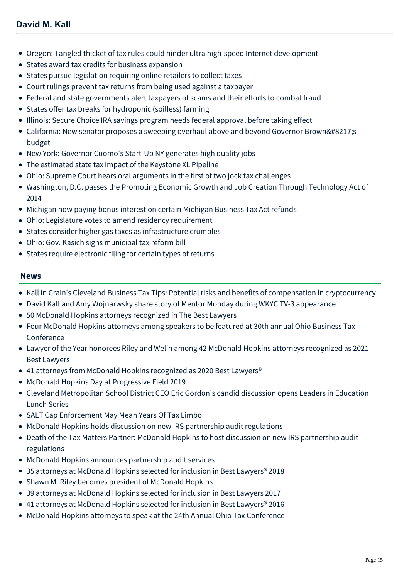- [Oregon: Tangled thicket of tax rules could hinder ultra high-speed Internet development](https://mcdonaldhopkins.com/Insights/March-2015/Oregon-Tangled-thicket-of-tax-rules-could-hinder)
- [States award tax credits for business expansion](https://mcdonaldhopkins.com/Insights/Febrary-2015/States-award-tax-credits-for-business-expansion)
- [States pursue legislation requiring online retailers to collect taxes](https://mcdonaldhopkins.com/Insights/Febrary-2015/States-pursue-legislation-requiring-online-retaile)
- [Court rulings prevent tax returns from being used against a taxpayer](https://mcdonaldhopkins.com/Insights/Febrary-2015/Court-rulings-prevent-tax-returns-from-being-used)
- [Federal and state governments alert taxpayers of scams and their efforts to combat fraud](https://mcdonaldhopkins.com/Insights/Febrary-2015/Federal-and-state-governments-alert-taxpayers-of-s)
- [States offer tax breaks for hydroponic \(soilless\) farming](https://mcdonaldhopkins.com/Insights/Febrary-2015/States-offer-tax-breaks-for-hydroponic-(soilless))
- [Illinois: Secure Choice IRA savings program needs federal approval before taking effect](https://mcdonaldhopkins.com/Insights/Febrary-2015/Illinois-Secure-Choice-IRA-savings-program-needs)
- [California: New senator proposes a sweeping overhaul above and beyond Governor Brown's](https://mcdonaldhopkins.com/Insights/Febrary-2015/California-New-senator-proposes-a-sweeping-overha) budget
- [New York: Governor Cuomo's Start-Up NY generates high quality jobs](https://mcdonaldhopkins.com/Insights/January-2015/New-York-Governor-Cuomo-s-Start-Up-NY-generates-h)
- [The estimated state tax impact of the Keystone XL Pipeline](https://mcdonaldhopkins.com/Insights/January-2015/The-estimated-state-tax-impact-of-the-Keystone-XL)
- [Ohio: Supreme Court hears oral arguments in the first of two jock tax challenges](https://mcdonaldhopkins.com/Insights/January-2015/Ohio-Supreme-Court-hears-oral-arguments-in-the-fi)
- [Washington, D.C. passes the Promoting Economic Growth and Job Creation Through Technology Act of](https://mcdonaldhopkins.com/Insights/January-2015/Washington,-D-C-passes-the-Promoting-Economic-Gro) 2014
- [Michigan now paying bonus interest on certain Michigan Business Tax Act refunds](https://mcdonaldhopkins.com/Insights/January-2015/Michigan-now-paying-bonus-interest-on-certain-Mich)
- [Ohio: Legislature votes to amend residency requirement](https://mcdonaldhopkins.com/Insights/January-2015/Ohio-Legislature-votes-to-amend-residency-require)
- [States consider higher gas taxes as infrastructure crumbles](https://mcdonaldhopkins.com/Insights/January-2015/States-consider-higher-gas-taxes-as-infrastructure)
- [Ohio: Gov. Kasich signs municipal tax reform bill](https://mcdonaldhopkins.com/Insights/January-2015/Ohio-Gov-Kasich-signs-municipal-tax-reform-bill)
- [States require electronic filing for certain types of returns](https://mcdonaldhopkins.com/Insights/January-2015/States-require-electronic-filing-for-certain-types)

#### **News**

- [Kall in Crain's Cleveland Business Tax Tips: Potential risks and benefits of compensation in cryptocurrency](https://mcdonaldhopkins.com/Insights/April-2022/Kall-in-Crains-Cleveland-Business-Tax-Tips)
- [David Kall and Amy Wojnarwsky share story of Mentor Monday during WKYC TV-3 appearance](https://mcdonaldhopkins.com/Insights/March-2022/David-Kall-and-Amy-Wojnarwsky-share-story-of-Mento)
- [50 McDonald Hopkins attorneys recognized in The Best Lawyers](https://mcdonaldhopkins.com/Insights/August-2021/50-McDonald-Hopkins-attorneys-recognized-in-The-Be)
- [Four McDonald Hopkins attorneys among speakers to be featured at 30th annual Ohio Business Tax](https://mcdonaldhopkins.com/Insights/January-2021/Four-McDonald-Hopkins-attorneys-among-speakers-to) Conference
- [Lawyer of the Year honorees Riley and Welin among 42 McDonald Hopkins attorneys recognized as 2021](https://mcdonaldhopkins.com/Insights/August-2020/Lawyer-of-the-Year-honorees-Riley-and-Welin-among) Best Lawyers
- 41 attorneys from McDonald Hopkins recognized as 2020 Best Lawyers<sup>®</sup>
- [McDonald Hopkins Day at Progressive Field 2019](https://mcdonaldhopkins.com/Insights/June-2019/McDonald-Hopkins-Day-at-Progressive-Field-2019)
- [Cleveland Metropolitan School District CEO Eric Gordon's candid discussion opens Leaders in Education](https://mcdonaldhopkins.com/Insights/April-2019/Candid-discussion-with-Eric-Gordon-opens-Leaders-i) Lunch Series
- [SALT Cap Enforcement May Mean Years Of Tax Limbo](https://mcdonaldhopkins.com/Insights/May-2018/SALT-Cap-Enforcement-May-Mean-Years-Of-Tax-Limbo)
- [McDonald Hopkins holds discussion on new IRS partnership audit regulations](https://mcdonaldhopkins.com/Insights/October-2017/McDonald-Hopkins-holds-discussion-on-new-IRS-partn)
- [Death of the Tax Matters Partner: McDonald Hopkins to host discussion on new IRS partnership audit](https://mcdonaldhopkins.com/Insights/August-2017/Death-of-the-Tax-Matters-Partner-McDonald-Hopkins) regulations
- [McDonald Hopkins announces partnership audit services](https://mcdonaldhopkins.com/Insights/August-2017/McDonald-Hopkins-announces-partnership-audit-servi)
- [35 attorneys at McDonald Hopkins selected for inclusion in Best Lawyers® 2018](https://mcdonaldhopkins.com/Insights/August-2017/35-attorneys-at-McDonald-Hopkins-selected-for-incl)
- [Shawn M. Riley becomes president of McDonald Hopkins](https://mcdonaldhopkins.com/Insights/October-2016/Shawn-M-Riley-becomes-president-of-McDonald-Hopkin)
- [39 attorneys at McDonald Hopkins selected for inclusion in Best Lawyers 2017](https://mcdonaldhopkins.com/Insights/August-2016/39-attorneys-at-McDonald-Hopkins-selected-for-incl)
- [41 attorneys at McDonald Hopkins selected for inclusion in Best Lawyers® 2016](https://mcdonaldhopkins.com/Insights/August-2015/33-attorneys-at-McDonald-Hopkins-selected-for-incl)
- [McDonald Hopkins attorneys to speak at the 24th Annual Ohio Tax Conference](https://mcdonaldhopkins.com/Insights/January-2015/McDonald-Hopkins-attorneys-to-speak-at-the-24th-An)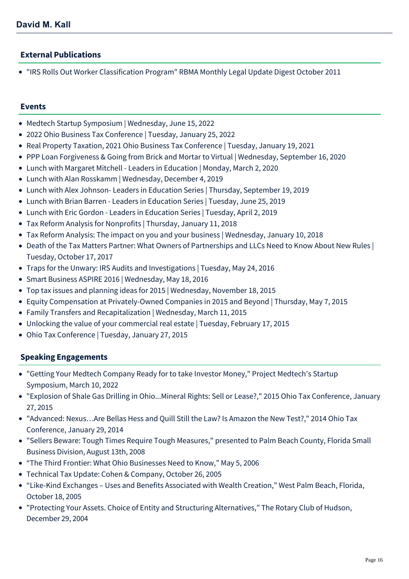### **External Publications**

"IRS Rolls Out Worker Classification Program" RBMA Monthly Legal Update Digest October 2011

#### **Events**

- [Medtech Startup Symposium | Wednesday, June 15, 2022](https://mcdonaldhopkins.com/Events/2022/Medtech-Startup-Symposium)
- [2022 Ohio Business Tax Conference | Tuesday, January 25, 2022](https://mcdonaldhopkins.com/Events/2022/2022-Ohio-Business-Tax-Conference)
- [Real Property Taxation, 2021 Ohio Business Tax Conference | Tuesday, January 19, 2021](https://mcdonaldhopkins.com/Events/2021/Real-Property-Taxation-2021-Ohio-Business-Tax-Conf)
- [PPP Loan Forgiveness & Going from Brick and Mortar to Virtual | Wednesday, September 16, 2020](https://mcdonaldhopkins.com/Events/2020/PPP-Loan-Forgiveness-Going-from-Brick-and-Mortar-t)
- [Lunch with Margaret Mitchell Leaders in Education | Monday, March 2, 2020](https://mcdonaldhopkins.com/Events/2020/Lunch-with-Margaret-Mitchell-Leaders-in-Education)
- [Lunch with Alan Rosskamm | Wednesday, December 4, 2019](https://mcdonaldhopkins.com/Events/2019/Lunch-with-Alan-Rosskamm)
- [Lunch with Alex Johnson- Leaders in Education Series | Thursday, September 19, 2019](https://mcdonaldhopkins.com/Events/2019/Lunch-with-Alex-Johnson)
- [Lunch with Brian Barren Leaders in Education Series | Tuesday, June 25, 2019](https://mcdonaldhopkins.com/Events/2019/Lunch-with-Brian-Barren-Leaders-in-Education-Ser)
- [Lunch with Eric Gordon Leaders in Education Series | Tuesday, April 2, 2019](https://mcdonaldhopkins.com/Events/2019/Lunch-with-Eric-Gordon)
- [Tax Reform Analysis for Nonprofits | Thursday, January 11, 2018](https://mcdonaldhopkins.com/Events/2017/Tax-Reform-Analysis-for-Nonprofits)
- [Tax Reform Analysis: The impact on you and your business | Wednesday, January 10, 2018](https://mcdonaldhopkins.com/Events/2018/Tax-Reform-Analysis)
- [Death of the Tax Matters Partner: What Owners of Partnerships and LLCs Need to Know About New Rules |](https://mcdonaldhopkins.com/Events/2017/The-Death-of-the-Tax-Matters-Partner) Tuesday, October 17, 2017
- [Traps for the Unwary: IRS Audits and Investigations | Tuesday, May 24, 2016](https://mcdonaldhopkins.com/Events/2016/Traps-for-the-Unwary)
- [Smart Business ASPIRE 2016 | Wednesday, May 18, 2016](https://mcdonaldhopkins.com/Events/2016/Smart-Business-ASPIRE-2016)
- [Top tax issues and planning ideas for 2015 | Wednesday, November 18, 2015](https://mcdonaldhopkins.com/Events/2015/Top-tax-issues-and-planning-ideas-for-2015)
- [Equity Compensation at Privately-Owned Companies in 2015 and Beyond | Thursday, May 7, 2015](https://mcdonaldhopkins.com/Events/2015/Executive-Compensation-Series-Equity-Compensation-at-Privately-Owned-Companies-in-2015-and-Beyond)
- [Family Transfers and Recapitalization | Wednesday, March 11, 2015](https://mcdonaldhopkins.com/Events/2015/Business-Succession-Planning-Series-Family-Transfe)
- [Unlocking the value of your commercial real estate | Tuesday, February 17, 2015](https://mcdonaldhopkins.com/Events/2015/Unlocking-the-value-of-your-commercial-real-estate)
- [Ohio Tax Conference | Tuesday, January 27, 2015](https://mcdonaldhopkins.com/Events/2015/Ohio-Tax-Conference)

#### **Speaking Engagements**

- "Getting Your Medtech Company Ready for to take Investor Money," Project Medtech's Startup Symposium, March 10, 2022
- "Explosion of Shale Gas Drilling in Ohio...Mineral Rights: Sell or Lease?," 2015 Ohio Tax Conference, January 27, 2015
- "Advanced: Nexus…Are Bellas Hess and Quill Still the Law? Is Amazon the New Test?," 2014 Ohio Tax Conference, January 29, 2014
- "Sellers Beware: Tough Times Require Tough Measures," presented to Palm Beach County, Florida Small Business Division, August 13th, 2008
- "The Third Frontier: What Ohio Businesses Need to Know," May 5, 2006
- Technical Tax Update: Cohen & Company, October 26, 2005
- "Like-Kind Exchanges Uses and Benefits Associated with Wealth Creation," West Palm Beach, Florida, October 18, 2005
- "Protecting Your Assets. Choice of Entity and Structuring Alternatives," The Rotary Club of Hudson, December 29, 2004